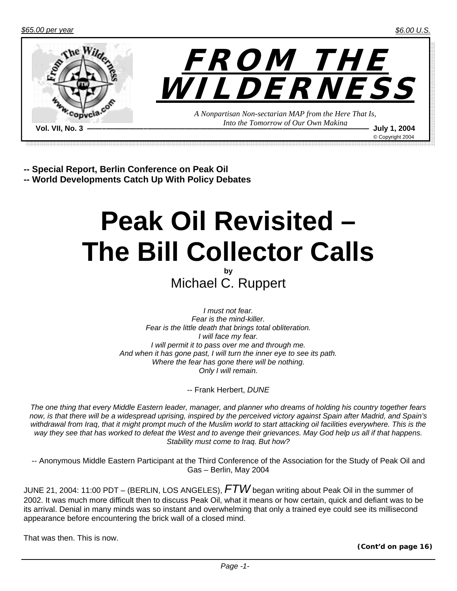*\$65.00 per year \$6.00 U.S.*



**-- Special Report, Berlin Conference on Peak Oil -- World Developments Catch Up With Policy Debates** 

# **Peak Oil Revisited – The Bill Collector Calls**

**by**  Michael C. Ruppert

*I must not fear. Fear is the mind-killer. Fear is the little death that brings total obliteration. I will face my fear. I will permit it to pass over me and through me. And when it has gone past, I will turn the inner eye to see its path. Where the fear has gone there will be nothing. Only I will remain.*

-- Frank Herbert, *DUNE*

*The one thing that every Middle Eastern leader, manager, and planner who dreams of holding his country together fears now, is that there will be a widespread uprising, inspired by the perceived victory against Spain after Madrid, and Spain's withdrawal from Iraq, that it might prompt much of the Muslim world to start attacking oil facilities everywhere. This is the way they see that has worked to defeat the West and to avenge their grievances. May God help us all if that happens. Stability must come to Iraq. But how?*

-- Anonymous Middle Eastern Participant at the Third Conference of the Association for the Study of Peak Oil and Gas – Berlin, May 2004

JUNE 21, 2004: 11:00 PDT – (BERLIN, LOS ANGELES), *FTW* began writing about Peak Oil in the summer of 2002. It was much more difficult then to discuss Peak Oil, what it means or how certain, quick and defiant was to be its arrival. Denial in many minds was so instant and overwhelming that only a trained eye could see its millisecond appearance before encountering the brick wall of a closed mind.

That was then. This is now.

*(Cont'd on page 16)*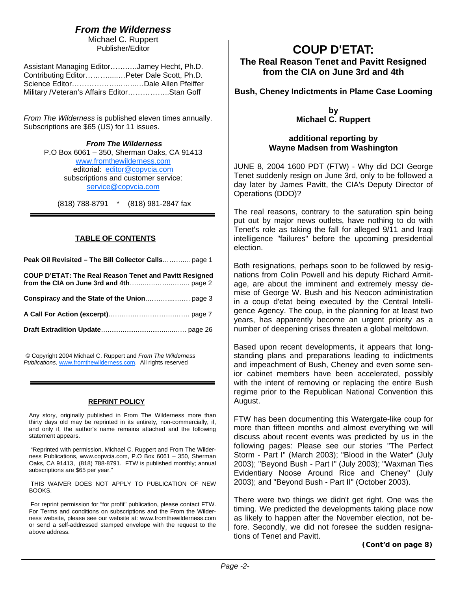#### *From the Wilderness*

Michael C. Ruppert Publisher/Editor

| Assistant Managing EditorJamey Hecht, Ph.D.  |  |
|----------------------------------------------|--|
| Contributing EditorPeter Dale Scott, Ph.D.   |  |
|                                              |  |
| Military / Veteran's Affairs EditorStan Goff |  |

*From The Wilderness* is published eleven times annually. Subscriptions are \$65 (US) for 11 issues.

> *From The Wilderness*  P.O Box 6061 – 350, Sherman Oaks, CA 91413 www.fromthewilderness.com editorial: editor@copvcia.com subscriptions and customer service: service@copvcia.com

(818) 788-8791 \* (818) 981-2847 fax

#### **TABLE OF CONTENTS**

**Peak Oil Revisited – The Bill Collector Calls**……….... page 1

| <b>COUP D'ETAT: The Real Reason Tenet and Pavitt Resigned</b> |
|---------------------------------------------------------------|
|                                                               |
|                                                               |
|                                                               |

© Copyright 2004 Michael C. Ruppert and *From The Wilderness Publications*, www.fromthewilderness.com. All rights reserved

#### **REPRINT POLICY**

Any story, originally published in From The Wilderness more than thirty days old may be reprinted in its entirety, non-commercially, if, and only if, the author's name remains attached and the following statement appears.

 "Reprinted with permission, Michael C. Ruppert and From The Wilderness Publications, www.copvcia.com, P.O Box 6061 – 350, Sherman Oaks, CA 91413, (818) 788-8791. FTW is published monthly; annual subscriptions are \$65 per year."

 THIS WAIVER DOES NOT APPLY TO PUBLICATION OF NEW BOOKS.

 For reprint permission for "for profit" publication, please contact FTW. For Terms and conditions on subscriptions and the From the Wilderness website, please see our website at: www.fromthewilderness.com or send a self-addressed stamped envelope with the request to the above address.

### **COUP D'ETAT:**

**The Real Reason Tenet and Pavitt Resigned from the CIA on June 3rd and 4th** 

**Bush, Cheney Indictments in Plame Case Looming** 

**by Michael C. Ruppert** 

#### **additional reporting by Wayne Madsen from Washington**

JUNE 8, 2004 1600 PDT (FTW) - Why did DCI George Tenet suddenly resign on June 3rd, only to be followed a day later by James Pavitt, the CIA's Deputy Director of Operations (DDO)?

The real reasons, contrary to the saturation spin being put out by major news outlets, have nothing to do with Tenet's role as taking the fall for alleged 9/11 and Iraqi intelligence "failures" before the upcoming presidential election.

Both resignations, perhaps soon to be followed by resignations from Colin Powell and his deputy Richard Armitage, are about the imminent and extremely messy demise of George W. Bush and his Neocon administration in a coup d'etat being executed by the Central Intelligence Agency. The coup, in the planning for at least two years, has apparently become an urgent priority as a number of deepening crises threaten a global meltdown.

Based upon recent developments, it appears that longstanding plans and preparations leading to indictments and impeachment of Bush, Cheney and even some senior cabinet members have been accelerated, possibly with the intent of removing or replacing the entire Bush regime prior to the Republican National Convention this August.

FTW has been documenting this Watergate-like coup for more than fifteen months and almost everything we will discuss about recent events was predicted by us in the following pages: Please see our stories "The Perfect Storm - Part I" (March 2003); "Blood in the Water" (July 2003); "Beyond Bush - Part I" (July 2003); "Waxman Ties Evidentiary Noose Around Rice and Cheney" (July 2003); and "Beyond Bush - Part II" (October 2003).

There were two things we didn't get right. One was the timing. We predicted the developments taking place now as likely to happen after the November election, not before. Secondly, we did not foresee the sudden resignations of Tenet and Pavitt.

*(Cont'd on page 8)*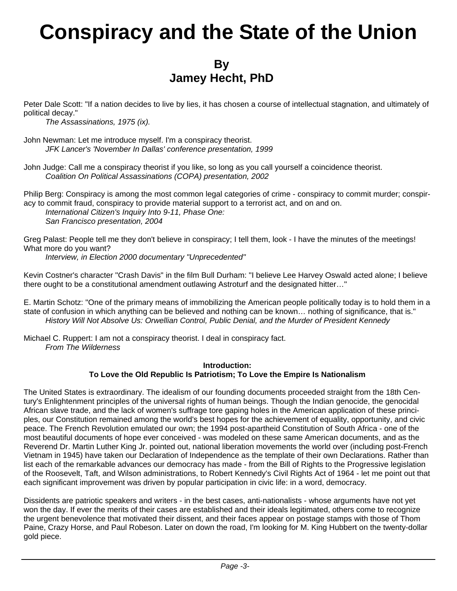# **Conspiracy and the State of the Union**

### **By Jamey Hecht, PhD**

Peter Dale Scott: "If a nation decides to live by lies, it has chosen a course of intellectual stagnation, and ultimately of political decay."

*The Assassinations, 1975 (ix).* 

- John Newman: Let me introduce myself. I'm a conspiracy theorist. *JFK Lancer's 'November In Dallas' conference presentation, 1999*
- John Judge: Call me a conspiracy theorist if you like, so long as you call yourself a coincidence theorist. *Coalition On Political Assassinations (COPA) presentation, 2002*

Philip Berg: Conspiracy is among the most common legal categories of crime - conspiracy to commit murder; conspiracy to commit fraud, conspiracy to provide material support to a terrorist act, and on and on.

 *International Citizen's Inquiry Into 9-11, Phase One: San Francisco presentation, 2004* 

Greg Palast: People tell me they don't believe in conspiracy; I tell them, look - I have the minutes of the meetings! What more do you want?

*Interview, in Election 2000 documentary "Unprecedented"*

Kevin Costner's character "Crash Davis" in the film Bull Durham: "I believe Lee Harvey Oswald acted alone; I believe there ought to be a constitutional amendment outlawing Astroturf and the designated hitter…"

E. Martin Schotz: "One of the primary means of immobilizing the American people politically today is to hold them in a state of confusion in which anything can be believed and nothing can be known… nothing of significance, that is." *History Will Not Absolve Us: Orwellian Control, Public Denial, and the Murder of President Kennedy* 

Michael C. Ruppert: I am not a conspiracy theorist. I deal in conspiracy fact. *From The Wilderness* 

#### **Introduction: To Love the Old Republic Is Patriotism; To Love the Empire Is Nationalism**

The United States is extraordinary. The idealism of our founding documents proceeded straight from the 18th Century's Enlightenment principles of the universal rights of human beings. Though the Indian genocide, the genocidal African slave trade, and the lack of women's suffrage tore gaping holes in the American application of these principles, our Constitution remained among the world's best hopes for the achievement of equality, opportunity, and civic peace. The French Revolution emulated our own; the 1994 post-apartheid Constitution of South Africa - one of the most beautiful documents of hope ever conceived - was modeled on these same American documents, and as the Reverend Dr. Martin Luther King Jr. pointed out, national liberation movements the world over (including post-French Vietnam in 1945) have taken our Declaration of Independence as the template of their own Declarations. Rather than list each of the remarkable advances our democracy has made - from the Bill of Rights to the Progressive legislation of the Roosevelt, Taft, and Wilson administrations, to Robert Kennedy's Civil Rights Act of 1964 - let me point out that each significant improvement was driven by popular participation in civic life: in a word, democracy.

Dissidents are patriotic speakers and writers - in the best cases, anti-nationalists - whose arguments have not yet won the day. If ever the merits of their cases are established and their ideals legitimated, others come to recognize the urgent benevolence that motivated their dissent, and their faces appear on postage stamps with those of Thom Paine, Crazy Horse, and Paul Robeson. Later on down the road, I'm looking for M. King Hubbert on the twenty-dollar gold piece.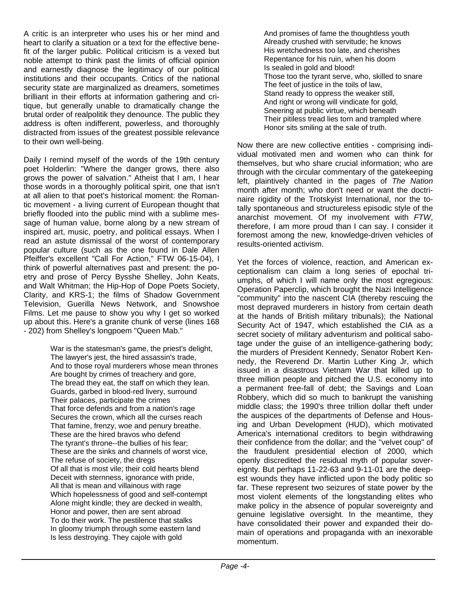A critic is an interpreter who uses his or her mind and heart to clarify a situation or a text for the effective benefit of the larger public. Political criticism is a vexed but noble attempt to think past the limits of official opinion and earnestly diagnose the legitimacy of our political institutions and their occupants. Critics of the national security state are marginalized as dreamers, sometimes brilliant in their efforts at information gathering and critique, but generally unable to dramatically change the brutal order of realpolitik they denounce. The public they address is often indifferent, powerless, and thoroughly distracted from issues of the greatest possible relevance to their own well-being.

Daily I remind myself of the words of the 19th century poet Holderlin: "Where the danger grows, there also grows the power of salvation." Atheist that I am, I hear those words in a thoroughly political spirit, one that isn't at all alien to that poet's historical moment: the Romantic movement - a living current of European thought that briefly flooded into the public mind with a sublime message of human value, borne along by a new stream of inspired art, music, poetry, and political essays. When I read an astute dismissal of the worst of contemporary popular culture (such as the one found in Dale Allen Pfeiffer's excellent "Call For Action," FTW 06-15-04), I think of powerful alternatives past and present: the poetry and prose of Percy Bysshe Shelley, John Keats, and Walt Whitman; the Hip-Hop of Dope Poets Society, Clarity, and KRS-1; the films of Shadow Government Television, Guerilla News Network, and Snowshoe Films. Let me pause to show you why I get so worked up about this. Here's a granite chunk of verse (lines 168 - 202) from Shelley's longpoem "Queen Mab."

> War is the statesman's game, the priest's delight, The lawyer's jest, the hired assassin's trade, And to those royal murderers whose mean thrones Are bought by crimes of treachery and gore, The bread they eat, the staff on which they lean. Guards, garbed in blood-red livery, surround Their palaces, participate the crimes That force defends and from a nation's rage Secures the crown, which all the curses reach That famine, frenzy, woe and penury breathe. These are the hired bravos who defend The tyrant's throne--the bullies of his fear; These are the sinks and channels of worst vice, The refuse of society, the dregs Of all that is most vile; their cold hearts blend Deceit with sternness, ignorance with pride, All that is mean and villainous with rage Which hopelessness of good and self-contempt Alone might kindle; they are decked in wealth, Honor and power, then are sent abroad To do their work. The pestilence that stalks In gloomy triumph through some eastern land Is less destroying. They cajole with gold

And promises of fame the thoughtless youth Already crushed with servitude; he knows His wretchedness too late, and cherishes Repentance for his ruin, when his doom Is sealed in gold and blood! Those too the tyrant serve, who, skilled to snare The feet of justice in the toils of law, Stand ready to oppress the weaker still, And right or wrong will vindicate for gold, Sneering at public virtue, which beneath Their pitiless tread lies torn and trampled where Honor sits smiling at the sale of truth.

Now there are new collective entities - comprising individual motivated men and women who can think for themselves, but who share crucial information; who are through with the circular commentary of the gatekeeping left, plaintively chanted in the pages of *The Nation* month after month; who don't need or want the doctrinaire rigidity of the Trotskyist International, nor the totally spontaneous and structureless episodic style of the anarchist movement. Of my involvement with *FTW*, therefore, I am more proud than I can say. I consider it foremost among the new, knowledge-driven vehicles of results-oriented activism.

Yet the forces of violence, reaction, and American exceptionalism can claim a long series of epochal triumphs, of which I will name only the most egregious: Operation Paperclip, which brought the Nazi Intelligence "community" into the nascent CIA (thereby rescuing the most depraved murderers in history from certain death at the hands of British military tribunals); the National Security Act of 1947, which established the CIA as a secret society of military adventurism and political sabotage under the guise of an intelligence-gathering body; the murders of President Kennedy, Senator Robert Kennedy, the Reverend Dr. Martin Luther King Jr, which issued in a disastrous Vietnam War that killed up to three million people and pitched the U.S. economy into a permanent free-fall of debt; the Savings and Loan Robbery, which did so much to bankrupt the vanishing middle class; the 1990's three trillion dollar theft under the auspices of the departments of Defense and Housing and Urban Development (HUD), which motivated America's international creditors to begin withdrawing their confidence from the dollar; and the "velvet coup" of the fraudulent presidential election of 2000, which openly discredited the residual myth of popular sovereignty. But perhaps 11-22-63 and 9-11-01 are the deepest wounds they have inflicted upon the body politic so far. These represent two seizures of state power by the most violent elements of the longstanding elites who make policy in the absence of popular sovereignty and genuine legislative oversight. In the meantime, they have consolidated their power and expanded their domain of operations and propaganda with an inexorable momentum.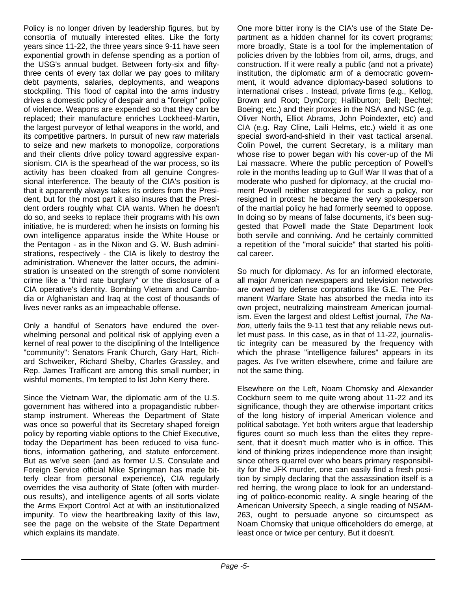Policy is no longer driven by leadership figures, but by consortia of mutually interested elites. Like the forty years since 11-22, the three years since 9-11 have seen exponential growth in defense spending as a portion of the USG's annual budget. Between forty-six and fiftythree cents of every tax dollar we pay goes to military debt payments, salaries, deployments, and weapons stockpiling. This flood of capital into the arms industry drives a domestic policy of despair and a "foreign" policy of violence. Weapons are expended so that they can be replaced; their manufacture enriches Lockheed-Martin, the largest purveyor of lethal weapons in the world, and its competitive partners. In pursuit of new raw materials to seize and new markets to monopolize, corporations and their clients drive policy toward aggressive expansionism. CIA is the spearhead of the war process, so its activity has been cloaked from all genuine Congressional interference. The beauty of the CIA's position is that it apparently always takes its orders from the President, but for the most part it also insures that the President orders roughly what CIA wants. When he doesn't do so, and seeks to replace their programs with his own initiative, he is murdered; when he insists on forming his own intelligence apparatus inside the White House or the Pentagon - as in the Nixon and G. W. Bush administrations, respectively - the CIA is likely to destroy the administration. Whenever the latter occurs, the administration is unseated on the strength of some nonviolent crime like a "third rate burglary" or the disclosure of a CIA operative's identity. Bombing Vietnam and Cambodia or Afghanistan and Iraq at the cost of thousands of lives never ranks as an impeachable offense.

Only a handful of Senators have endured the overwhelming personal and political risk of applying even a kernel of real power to the disciplining of the Intelligence "community": Senators Frank Church, Gary Hart, Richard Schweiker, Richard Shelby, Charles Grassley, and Rep. James Trafficant are among this small number; in wishful moments, I'm tempted to list John Kerry there.

Since the Vietnam War, the diplomatic arm of the U.S. government has withered into a propagandistic rubberstamp instrument. Whereas the Department of State was once so powerful that its Secretary shaped foreign policy by reporting viable options to the Chief Executive, today the Department has been reduced to visa functions, information gathering, and statute enforcement. But as we've seen (and as former U.S. Consulate and Foreign Service official Mike Springman has made bitterly clear from personal experience), CIA regularly overrides the visa authority of State (often with murderous results), and intelligence agents of all sorts violate the Arms Export Control Act at with an institutionalized impunity. To view the heartbreaking laxity of this law, see the page on the website of the State Department which explains its mandate.

One more bitter irony is the CIA's use of the State Department as a hidden channel for its covert programs; more broadly, State is a tool for the implementation of policies driven by the lobbies from oil, arms, drugs, and construction. If it were really a public (and not a private) institution, the diplomatic arm of a democratic government, it would advance diplomacy-based solutions to international crises . Instead, private firms (e.g., Kellog, Brown and Root; DynCorp; Halliburton; Bell; Bechtel; Boeing; etc.) and their proxies in the NSA and NSC (e.g. Oliver North, Elliot Abrams, John Poindexter, etc) and CIA (e.g. Ray Cline, Laili Helms, etc.) wield it as one special sword-and-shield in their vast tactical arsenal. Colin Powel, the current Secretary, is a military man whose rise to power began with his cover-up of the Mi Lai massacre. Where the public perception of Powell's role in the months leading up to Gulf War II was that of a moderate who pushed for diplomacy, at the crucial moment Powell neither strategized for such a policy, nor resigned in protest: he became the very spokesperson of the martial policy he had formerly seemed to oppose. In doing so by means of false documents, it's been suggested that Powell made the State Department look both servile and conniving. And he certainly committed a repetition of the "moral suicide" that started his political career.

So much for diplomacy. As for an informed electorate, all major American newspapers and television networks are owned by defense corporations like G.E. The Permanent Warfare State has absorbed the media into its own project, neutralizing mainstream American journalism. Even the largest and oldest Leftist journal, *The Nation*, utterly fails the 9-11 test that any reliable news outlet must pass. In this case, as in that of 11-22, journalistic integrity can be measured by the frequency with which the phrase "intelligence failures" appears in its pages. As I've written elsewhere, crime and failure are not the same thing.

Elsewhere on the Left, Noam Chomsky and Alexander Cockburn seem to me quite wrong about 11-22 and its significance, though they are otherwise important critics of the long history of imperial American violence and political sabotage. Yet both writers argue that leadership figures count so much less than the elites they represent, that it doesn't much matter who is in office. This kind of thinking prizes independence more than insight; since others quarrel over who bears primary responsibility for the JFK murder, one can easily find a fresh position by simply declaring that the assassination itself is a red herring, the wrong place to look for an understanding of politico-economic reality. A single hearing of the American University Speech, a single reading of NSAM-263, ought to persuade anyone so circumspect as Noam Chomsky that unique officeholders do emerge, at least once or twice per century. But it doesn't.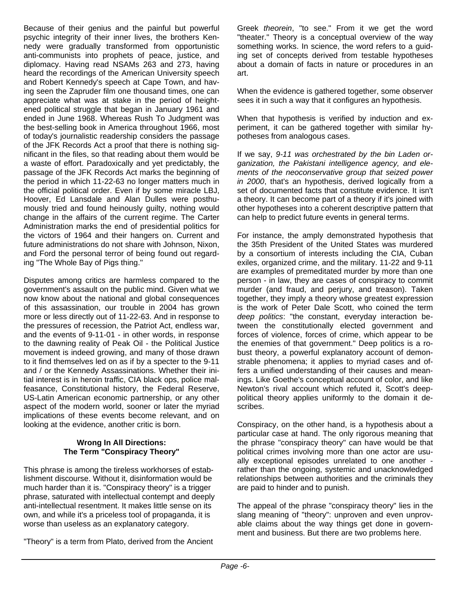Because of their genius and the painful but powerful psychic integrity of their inner lives, the brothers Kennedy were gradually transformed from opportunistic anti-communists into prophets of peace, justice, and diplomacy. Having read NSAMs 263 and 273, having heard the recordings of the American University speech and Robert Kennedy's speech at Cape Town, and having seen the Zapruder film one thousand times, one can appreciate what was at stake in the period of heightened political struggle that began in January 1961 and ended in June 1968. Whereas Rush To Judgment was the best-selling book in America throughout 1966, most of today's journalistic readership considers the passage of the JFK Records Act a proof that there is nothing significant in the files, so that reading about them would be a waste of effort. Paradoxically and yet predictably, the passage of the JFK Records Act marks the beginning of the period in which 11-22-63 no longer matters much in the official political order. Even if by some miracle LBJ, Hoover, Ed Lansdale and Alan Dulles were posthumously tried and found heinously guilty, nothing would change in the affairs of the current regime. The Carter Administration marks the end of presidential politics for the victors of 1964 and their hangers on. Current and future administrations do not share with Johnson, Nixon, and Ford the personal terror of being found out regarding "The Whole Bay of Pigs thing."

Disputes among critics are harmless compared to the government's assault on the public mind. Given what we now know about the national and global consequences of this assassination, our trouble in 2004 has grown more or less directly out of 11-22-63. And in response to the pressures of recession, the Patriot Act, endless war, and the events of 9-11-01 - in other words, in response to the dawning reality of Peak Oil - the Political Justice movement is indeed growing, and many of those drawn to it find themselves led on as if by a specter to the 9-11 and / or the Kennedy Assassinations. Whether their initial interest is in heroin traffic, CIA black ops, police malfeasance, Constitutional history, the Federal Reserve, US-Latin American economic partnership, or any other aspect of the modern world, sooner or later the myriad implications of these events become relevant, and on looking at the evidence, another critic is born.

#### **Wrong In All Directions: The Term "Conspiracy Theory"**

This phrase is among the tireless workhorses of establishment discourse. Without it, disinformation would be much harder than it is. "Conspiracy theory" is a trigger phrase, saturated with intellectual contempt and deeply anti-intellectual resentment. It makes little sense on its own, and while it's a priceless tool of propaganda, it is worse than useless as an explanatory category.

"Theory" is a term from Plato, derived from the Ancient

Greek *theorein*, "to see." From it we get the word "theater." Theory is a conceptual overview of the way something works. In science, the word refers to a guiding set of concepts derived from testable hypotheses about a domain of facts in nature or procedures in an art.

When the evidence is gathered together, some observer sees it in such a way that it configures an hypothesis.

When that hypothesis is verified by induction and experiment, it can be gathered together with similar hypotheses from analogous cases.

If we say, *9-11 was orchestrated by the bin Laden organization, the Pakistani intelligence agency, and elements of the neoconservative group that seized power in 2000*, that's an hypothesis, derived logically from a set of documented facts that constitute evidence. It isn't a theory. It can become part of a theory if it's joined with other hypotheses into a coherent descriptive pattern that can help to predict future events in general terms.

For instance, the amply demonstrated hypothesis that the 35th President of the United States was murdered by a consortium of interests including the CIA, Cuban exiles, organized crime, and the military. 11-22 and 9-11 are examples of premeditated murder by more than one person - in law, they are cases of conspiracy to commit murder (and fraud, and perjury, and treason). Taken together, they imply a theory whose greatest expression is the work of Peter Dale Scott, who coined the term *deep politics*: "the constant, everyday interaction between the constitutionally elected government and forces of violence, forces of crime, which appear to be the enemies of that government." Deep politics is a robust theory, a powerful explanatory account of demonstrable phenomena; it applies to myriad cases and offers a unified understanding of their causes and meanings. Like Goethe's conceptual account of color, and like Newton's rival account which refuted it, Scott's deeppolitical theory applies uniformly to the domain it describes.

Conspiracy, on the other hand, is a hypothesis about a particular case at hand. The only rigorous meaning that the phrase "conspiracy theory" can have would be that political crimes involving more than one actor are usually exceptional episodes unrelated to one another rather than the ongoing, systemic and unacknowledged relationships between authorities and the criminals they are paid to hinder and to punish.

The appeal of the phrase "conspiracy theory" lies in the slang meaning of "theory": unproven and even unprovable claims about the way things get done in government and business. But there are two problems here.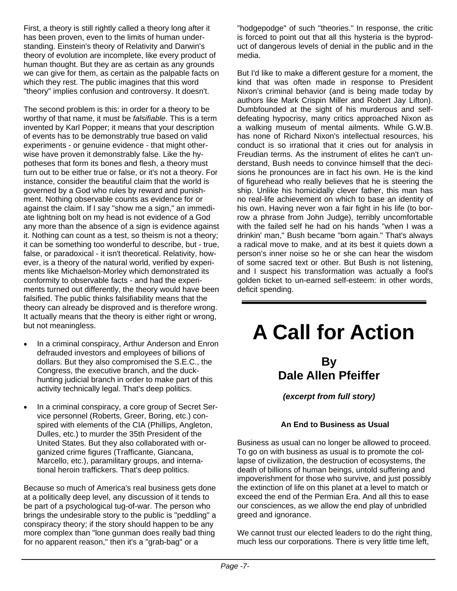First, a theory is still rightly called a theory long after it has been proven, even to the limits of human understanding. Einstein's theory of Relativity and Darwin's theory of evolution are incomplete, like every product of human thought. But they are as certain as any grounds we can give for them, as certain as the palpable facts on which they rest. The public imagines that this word "theory" implies confusion and controversy. It doesn't.

The second problem is this: in order for a theory to be worthy of that name, it must be *falsifiable*. This is a term invented by Karl Popper; it means that your description of events has to be demonstrably true based on valid experiments - or genuine evidence - that might otherwise have proven it demonstrably false. Like the hypotheses that form its bones and flesh, a theory must turn out to be either true or false, or it's not a theory. For instance, consider the beautiful claim that the world is governed by a God who rules by reward and punishment. Nothing observable counts as evidence for or against the claim. If I say "show me a sign," an immediate lightning bolt on my head is not evidence of a God any more than the absence of a sign is evidence against it. Nothing can count as a test, so theism is not a theory; it can be something too wonderful to describe, but - true, false, or paradoxical - it isn't theoretical. Relativity, however, is a theory of the natural world, verified by experiments like Michaelson-Morley which demonstrated its conformity to observable facts - and had the experiments turned out differently, the theory would have been falsified. The public thinks falsifiability means that the theory can already be disproved and is therefore wrong. It actually means that the theory is either right or wrong, but not meaningless.

- In a criminal conspiracy, Arthur Anderson and Enron defrauded investors and employees of billions of dollars. But they also compromised the S.E.C., the Congress, the executive branch, and the duckhunting judicial branch in order to make part of this activity technically legal. That's deep politics.
- In a criminal conspiracy, a core group of Secret Service personnel (Roberts, Greer, Boring, etc.) conspired with elements of the CIA (Phillips, Angleton, Dulles, etc.) to murder the 35th President of the United States. But they also collaborated with organized crime figures (Trafficante, Giancana, Marcello, etc.), paramilitary groups, and international heroin traffickers. That's deep politics.

Because so much of America's real business gets done at a politically deep level, any discussion of it tends to be part of a psychological tug-of-war. The person who brings the undesirable story to the public is "peddling" a conspiracy theory; if the story should happen to be any more complex than "lone gunman does really bad thing for no apparent reason," then it's a "grab-bag" or a

"hodgepodge" of such "theories." In response, the critic is forced to point out that all this hysteria is the byproduct of dangerous levels of denial in the public and in the media.

But I'd like to make a different gesture for a moment, the kind that was often made in response to President Nixon's criminal behavior (and is being made today by authors like Mark Crispin Miller and Robert Jay Lifton). Dumbfounded at the sight of his murderous and selfdefeating hypocrisy, many critics approached Nixon as a walking museum of mental ailments. While G.W.B. has none of Richard Nixon's intellectual resources, his conduct is so irrational that it cries out for analysis in Freudian terms. As the instrument of elites he can't understand, Bush needs to convince himself that the decisions he pronounces are in fact his own. He is the kind of figurehead who really believes that he is steering the ship. Unlike his homicidally clever father, this man has no real-life achievement on which to base an identity of his own. Having never won a fair fight in his life (to borrow a phrase from John Judge), terribly uncomfortable with the failed self he had on his hands "when I was a drinkin' man," Bush became "born again." That's always a radical move to make, and at its best it quiets down a person's inner noise so he or she can hear the wisdom of some sacred text or other. But Bush is not listening, and I suspect his transformation was actually a fool's golden ticket to un-earned self-esteem: in other words, deficit spending.

# **A Call for Action**

**By Dale Allen Pfeiffer**

*(excerpt from full story)*

#### **An End to Business as Usual**

Business as usual can no longer be allowed to proceed. To go on with business as usual is to promote the collapse of civilization, the destruction of ecosystems, the death of billions of human beings, untold suffering and impoverishment for those who survive, and just possibly the extinction of life on this planet at a level to match or exceed the end of the Permian Era. And all this to ease our consciences, as we allow the end play of unbridled greed and ignorance.

We cannot trust our elected leaders to do the right thing, much less our corporations. There is very little time left,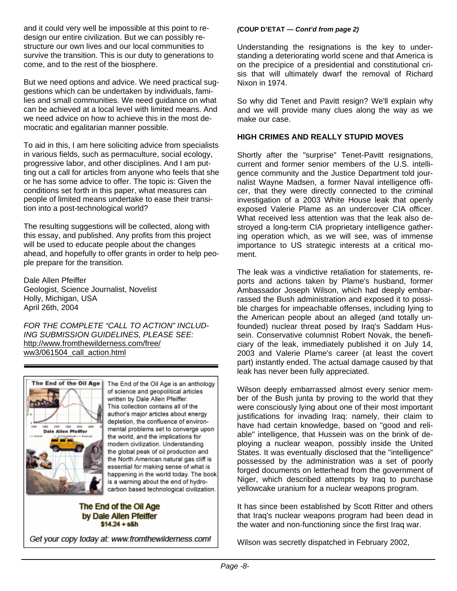and it could very well be impossible at this point to redesign our entire civilization. But we can possibly restructure our own lives and our local communities to survive the transition. This is our duty to generations to come, and to the rest of the biosphere.

But we need options and advice. We need practical suggestions which can be undertaken by individuals, families and small communities. We need guidance on what can be achieved at a local level with limited means. And we need advice on how to achieve this in the most democratic and egalitarian manner possible.

To aid in this, I am here soliciting advice from specialists in various fields, such as permaculture, social ecology, progressive labor, and other disciplines. And I am putting out a call for articles from anyone who feels that she or he has some advice to offer. The topic is: Given the conditions set forth in this paper, what measures can people of limited means undertake to ease their transition into a post-technological world?

The resulting suggestions will be collected, along with this essay, and published. Any profits from this project will be used to educate people about the changes ahead, and hopefully to offer grants in order to help people prepare for the transition.

Dale Allen Pfeiffer Geologist, Science Journalist, Novelist Holly, Michigan, USA April 26th, 2004

*FOR THE COMPLETE "CALL TO ACTION" INCLUD-ING SUBMISSION GUIDELINES, PLEASE SEE:* http://www.fromthewilderness.com/free/ ww3/061504\_call\_action.html



The End of the Oil Age is an anthology of science and geopolitical articles written by Dale Allen Pfeiffer. This collection contains all of the author's major articles about energy depletion, the confluence of environmental problems set to converge upon the world, and the implications for modern civilization. Understanding the global peak of oil production and the North American natural gas cliff is essential for making sense of what is happening in the world today. The book is a warning about the end of hydrocarbon based technological civilization.

The End of the Oil Age by Dale Allen Pfeiffer  $$14.24 + s8h$ 

Get your copy today at: www.fromthewilderness.com!

#### *(***COUP D'ETAT** *— Cont'd from page 2)*

Understanding the resignations is the key to understanding a deteriorating world scene and that America is on the precipice of a presidential and constitutional crisis that will ultimately dwarf the removal of Richard Nixon in 1974.

So why did Tenet and Pavitt resign? We'll explain why and we will provide many clues along the way as we make our case.

#### **HIGH CRIMES AND REALLY STUPID MOVES**

Shortly after the "surprise" Tenet-Pavitt resignations, current and former senior members of the U.S. intelligence community and the Justice Department told journalist Wayne Madsen, a former Naval intelligence officer, that they were directly connected to the criminal investigation of a 2003 White House leak that openly exposed Valerie Plame as an undercover CIA officer. What received less attention was that the leak also destroyed a long-term CIA proprietary intelligence gathering operation which, as we will see, was of immense importance to US strategic interests at a critical moment.

The leak was a vindictive retaliation for statements, reports and actions taken by Plame's husband, former Ambassador Joseph Wilson, which had deeply embarrassed the Bush administration and exposed it to possible charges for impeachable offenses, including lying to the American people about an alleged (and totally unfounded) nuclear threat posed by Iraq's Saddam Hussein. Conservative columnist Robert Novak, the beneficiary of the leak, immediately published it on July 14, 2003 and Valerie Plame's career (at least the covert part) instantly ended. The actual damage caused by that leak has never been fully appreciated.

Wilson deeply embarrassed almost every senior member of the Bush junta by proving to the world that they were consciously lying about one of their most important justifications for invading Iraq: namely, their claim to have had certain knowledge, based on "good and reliable" intelligence, that Hussein was on the brink of deploying a nuclear weapon, possibly inside the United States. It was eventually disclosed that the "intelligence" possessed by the administration was a set of poorly forged documents on letterhead from the government of Niger, which described attempts by Iraq to purchase yellowcake uranium for a nuclear weapons program.

It has since been established by Scott Ritter and others that Iraq's nuclear weapons program had been dead in the water and non-functioning since the first Iraq war.

Wilson was secretly dispatched in February 2002,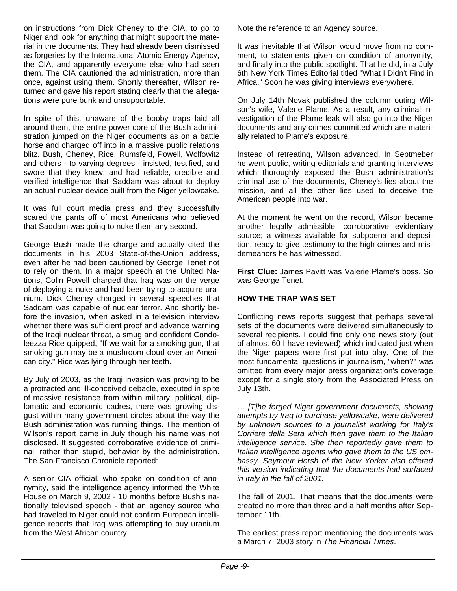on instructions from Dick Cheney to the CIA, to go to Niger and look for anything that might support the material in the documents. They had already been dismissed as forgeries by the International Atomic Energy Agency, the CIA, and apparently everyone else who had seen them. The CIA cautioned the administration, more than once, against using them. Shortly thereafter, Wilson returned and gave his report stating clearly that the allegations were pure bunk and unsupportable.

In spite of this, unaware of the booby traps laid all around them, the entire power core of the Bush administration jumped on the Niger documents as on a battle horse and charged off into in a massive public relations blitz. Bush, Cheney, Rice, Rumsfeld, Powell, Wolfowitz and others - to varying degrees - insisted, testified, and swore that they knew, and had reliable, credible and verified intelligence that Saddam was about to deploy an actual nuclear device built from the Niger yellowcake.

It was full court media press and they successfully scared the pants off of most Americans who believed that Saddam was going to nuke them any second.

George Bush made the charge and actually cited the documents in his 2003 State-of-the-Union address, even after he had been cautioned by George Tenet not to rely on them. In a major speech at the United Nations, Colin Powell charged that Iraq was on the verge of deploying a nuke and had been trying to acquire uranium. Dick Cheney charged in several speeches that Saddam was capable of nuclear terror. And shortly before the invasion, when asked in a television interview whether there was sufficient proof and advance warning of the Iraqi nuclear threat, a smug and confident Condoleezza Rice quipped, "If we wait for a smoking gun, that smoking gun may be a mushroom cloud over an American city." Rice was lying through her teeth.

By July of 2003, as the Iraqi invasion was proving to be a protracted and ill-conceived debacle, executed in spite of massive resistance from within military, political, diplomatic and economic cadres, there was growing disgust within many government circles about the way the Bush administration was running things. The mention of Wilson's report came in July though his name was not disclosed. It suggested corroborative evidence of criminal, rather than stupid, behavior by the administration. The San Francisco Chronicle reported:

A senior CIA official, who spoke on condition of anonymity, said the intelligence agency informed the White House on March 9, 2002 - 10 months before Bush's nationally televised speech - that an agency source who had traveled to Niger could not confirm European intelligence reports that Iraq was attempting to buy uranium from the West African country.

Note the reference to an Agency source.

It was inevitable that Wilson would move from no comment, to statements given on condition of anonymity, and finally into the public spotlight. That he did, in a July 6th New York Times Editorial titled "What I Didn't Find in Africa." Soon he was giving interviews everywhere.

On July 14th Novak published the column outing Wilson's wife, Valerie Plame. As a result, any criminal investigation of the Plame leak will also go into the Niger documents and any crimes committed which are materially related to Plame's exposure.

Instead of retreating, Wilson advanced. In Septmeber he went public, writing editorials and granting interviews which thoroughly exposed the Bush administration's criminal use of the documents, Cheney's lies about the mission, and all the other lies used to deceive the American people into war.

At the moment he went on the record, Wilson became another legally admissible, corroborative evidentiary source; a witness available for subpoena and deposition, ready to give testimony to the high crimes and misdemeanors he has witnessed.

**First Clue:** James Pavitt was Valerie Plame's boss. So was George Tenet.

#### **HOW THE TRAP WAS SET**

Conflicting news reports suggest that perhaps several sets of the documents were delivered simultaneously to several recipients. I could find only one news story (out of almost 60 I have reviewed) which indicated just when the Niger papers were first put into play. One of the most fundamental questions in journalism, "when?" was omitted from every major press organization's coverage except for a single story from the Associated Press on July 13th.

… *[T]he forged Niger government documents, showing attempts by Iraq to purchase yellowcake, were delivered by unknown sources to a journalist working for Italy's Corriere della Sera which then gave them to the Italian intelligence service. She then reportedly gave them to Italian intelligence agents who gave them to the US embassy. Seymour Hersh of the New Yorker also offered this version indicating that the documents had surfaced in Italy in the fall of 2001.* 

The fall of 2001. That means that the documents were created no more than three and a half months after September 11th.

The earliest press report mentioning the documents was a March 7, 2003 story in *The Financial Times*.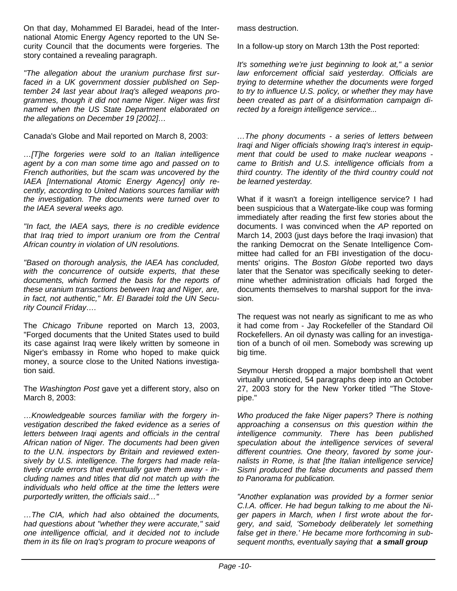On that day, Mohammed El Baradei, head of the International Atomic Energy Agency reported to the UN Security Council that the documents were forgeries. The story contained a revealing paragraph.

*"The allegation about the uranium purchase first surfaced in a UK government dossier published on September 24 last year about Iraq's alleged weapons programmes, though it did not name Niger. Niger was first named when the US State Department elaborated on the allegations on December 19 [2002]…* 

Canada's Globe and Mail reported on March 8, 2003:

*…[T]he forgeries were sold to an Italian intelligence agent by a con man some time ago and passed on to French authorities, but the scam was uncovered by the IAEA [International Atomic Energy Agency] only recently, according to United Nations sources familiar with the investigation. The documents were turned over to the IAEA several weeks ago.* 

*"In fact, the IAEA says, there is no credible evidence that Iraq tried to import uranium ore from the Central African country in violation of UN resolutions.* 

*"Based on thorough analysis, the IAEA has concluded, with the concurrence of outside experts, that these documents, which formed the basis for the reports of these uranium transactions between Iraq and Niger, are, in fact, not authentic," Mr. El Baradei told the UN Security Council Friday….* 

The *Chicago Tribune* reported on March 13, 2003, "Forged documents that the United States used to build its case against Iraq were likely written by someone in Niger's embassy in Rome who hoped to make quick money, a source close to the United Nations investigation said.

The *Washington Post* gave yet a different story, also on March 8, 2003:

*…Knowledgeable sources familiar with the forgery investigation described the faked evidence as a series of letters between Iraqi agents and officials in the central African nation of Niger. The documents had been given to the U.N. inspectors by Britain and reviewed extensively by U.S. intelligence. The forgers had made relatively crude errors that eventually gave them away - including names and titles that did not match up with the individuals who held office at the time the letters were purportedly written, the officials said…"* 

*…The CIA, which had also obtained the documents, had questions about "whether they were accurate," said one intelligence official, and it decided not to include them in its file on Iraq's program to procure weapons of* 

mass destruction.

In a follow-up story on March 13th the Post reported:

*It's something we're just beginning to look at," a senior law enforcement official said yesterday. Officials are trying to determine whether the documents were forged to try to influence U.S. policy, or whether they may have been created as part of a disinformation campaign directed by a foreign intelligence service...* 

*…The phony documents - a series of letters between Iraqi and Niger officials showing Iraq's interest in equipment that could be used to make nuclear weapons came to British and U.S. intelligence officials from a third country. The identity of the third country could not be learned yesterday.* 

What if it wasn't a foreign intelligence service? I had been suspicious that a Watergate-like coup was forming immediately after reading the first few stories about the documents. I was convinced when the *AP* reported on March 14, 2003 (just days before the Iraqi invasion) that the ranking Democrat on the Senate Intelligence Committee had called for an FBI investigation of the documents' origins. The *Boston Globe* reported two days later that the Senator was specifically seeking to determine whether administration officials had forged the documents themselves to marshal support for the invasion.

The request was not nearly as significant to me as who it had come from - Jay Rockefeller of the Standard Oil Rockefellers. An oil dynasty was calling for an investigation of a bunch of oil men. Somebody was screwing up big time.

Seymour Hersh dropped a major bombshell that went virtually unnoticed, 54 paragraphs deep into an October 27, 2003 story for the New Yorker titled "The Stovepipe."

*Who produced the fake Niger papers? There is nothing approaching a consensus on this question within the intelligence community. There has been published speculation about the intelligence services of several different countries. One theory, favored by some journalists in Rome, is that [the Italian intelligence service] Sismi produced the false documents and passed them to Panorama for publication.* 

*"Another explanation was provided by a former senior C.I.A. officer. He had begun talking to me about the Niger papers in March, when I first wrote about the forgery, and said, 'Somebody deliberately let something false get in there.' He became more forthcoming in subsequent months, eventually saying that a small group*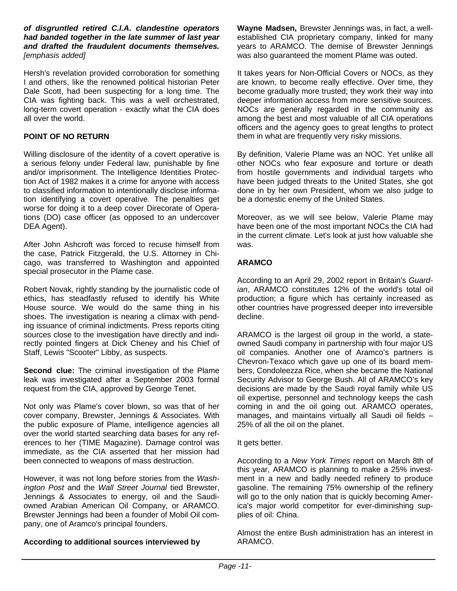*of disgruntled retired C.I.A. clandestine operators had banded together in the late summer of last year and drafted the fraudulent documents themselves. [emphasis added]* 

Hersh's revelation provided corroboration for something I and others, like the renowned political historian Peter Dale Scott, had been suspecting for a long time. The CIA was fighting back. This was a well orchestrated, long-term covert operation - exactly what the CIA does all over the world.

#### **POINT OF NO RETURN**

Willing disclosure of the identity of a covert operative is a serious felony under Federal law, punishable by fine and/or imprisonment. The Intelligence Identities Protection Act of 1982 makes it a crime for anyone with access to classified information to intentionally disclose information identifying a covert operative. The penalties get worse for doing it to a deep cover Direcorate of Operations (DO) case officer (as opposed to an undercover DEA Agent).

After John Ashcroft was forced to recuse himself from the case, Patrick Fitzgerald, the U.S. Attorney in Chicago, was transferred to Washington and appointed special prosecutor in the Plame case.

Robert Novak, rightly standing by the journalistic code of ethics, has steadfastly refused to identify his White House source. We would do the same thing in his shoes. The investigation is nearing a climax with pending issuance of criminal indictments. Press reports citing sources close to the investigation have directly and indirectly pointed fingers at Dick Cheney and his Chief of Staff, Lewis "Scooter" Libby, as suspects.

**Second clue:** The criminal investigation of the Plame leak was investigated after a September 2003 formal request from the CIA, approved by George Tenet.

Not only was Plame's cover blown, so was that of her cover company, Brewster, Jennings & Associates. With the public exposure of Plame, intelligence agencies all over the world started searching data bases for any references to her (TIME Magazine). Damage control was immediate, as the CIA asserted that her mission had been connected to weapons of mass destruction.

However, it was not long before stories from the *Washington Post* and the *Wall Street Journal* tied Brewster, Jennings & Associates to energy, oil and the Saudiowned Arabian American Oil Company, or ARAMCO. Brewster Jennings had been a founder of Mobil Oil company, one of Aramco's principal founders.

#### **According to additional sources interviewed by**

**Wayne Madsen,** Brewster Jennings was, in fact, a wellestablished CIA proprietary company, linked for many years to ARAMCO. The demise of Brewster Jennings was also guaranteed the moment Plame was outed.

It takes years for Non-Official Covers or NOCs, as they are known, to become really effective. Over time, they become gradually more trusted; they work their way into deeper information access from more sensitive sources. NOCs are generally regarded in the community as among the best and most valuable of all CIA operations officers and the agency goes to great lengths to protect them in what are frequently very risky missions.

By definition, Valerie Plame was an NOC. Yet unlike all other NOCs who fear exposure and torture or death from hostile governments and individual targets who have been judged threats to the United States, she got done in by her own President, whom we also judge to be a domestic enemy of the United States.

Moreover, as we will see below, Valerie Plame may have been one of the most important NOCs the CIA had in the current climate. Let's look at just how valuable she was.

#### **ARAMCO**

According to an April 29, 2002 report in Britain's *Guardian*, ARAMCO constitutes 12% of the world's total oil production; a figure which has certainly increased as other countries have progressed deeper into irreversible decline.

ARAMCO is the largest oil group in the world, a stateowned Saudi company in partnership with four major US oil companies. Another one of Aramco's partners is Chevron-Texaco which gave up one of its board members, Condoleezza Rice, when she became the National Security Advisor to George Bush. All of ARAMCO's key decisions are made by the Saudi royal family while US oil expertise, personnel and technology keeps the cash coming in and the oil going out. ARAMCO operates, manages, and maintains virtually all Saudi oil fields – 25% of all the oil on the planet.

#### It gets better.

According to a *New York Times* report on March 8th of this year, ARAMCO is planning to make a 25% investment in a new and badly needed refinery to produce gasoline. The remaining 75% ownership of the refinery will go to the only nation that is quickly becoming America's major world competitor for ever-diminishing supplies of oil: China.

Almost the entire Bush administration has an interest in ARAMCO.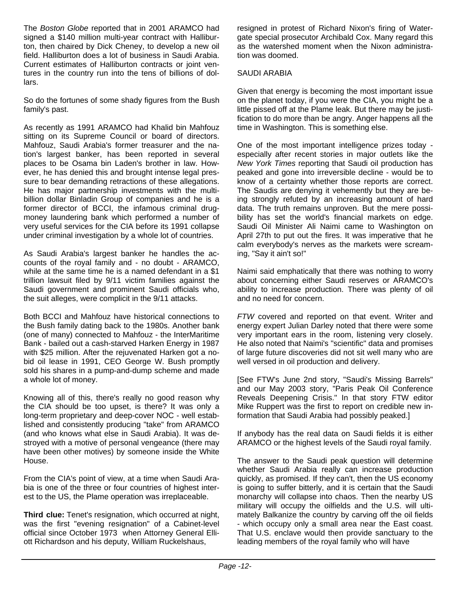The *Boston Globe* reported that in 2001 ARAMCO had signed a \$140 million multi-year contract with Halliburton, then chaired by Dick Cheney, to develop a new oil field. Halliburton does a lot of business in Saudi Arabia. Current estimates of Halliburton contracts or joint ventures in the country run into the tens of billions of dollars.

So do the fortunes of some shady figures from the Bush family's past.

As recently as 1991 ARAMCO had Khalid bin Mahfouz sitting on its Supreme Council or board of directors. Mahfouz, Saudi Arabia's former treasurer and the nation's largest banker, has been reported in several places to be Osama bin Laden's brother in law. However, he has denied this and brought intense legal pressure to bear demanding retractions of these allegations. He has major partnership investments with the multibillion dollar Binladin Group of companies and he is a former director of BCCI, the infamous criminal drugmoney laundering bank which performed a number of very useful services for the CIA before its 1991 collapse under criminal investigation by a whole lot of countries.

As Saudi Arabia's largest banker he handles the accounts of the royal family and - no doubt - ARAMCO, while at the same time he is a named defendant in a \$1 trillion lawsuit filed by 9/11 victim families against the Saudi government and prominent Saudi officials who, the suit alleges, were complicit in the 9/11 attacks.

Both BCCI and Mahfouz have historical connections to the Bush family dating back to the 1980s. Another bank (one of many) connected to Mahfouz - the InterMaritime Bank - bailed out a cash-starved Harken Energy in 1987 with \$25 million. After the rejuvenated Harken got a nobid oil lease in 1991, CEO George W. Bush promptly sold his shares in a pump-and-dump scheme and made a whole lot of money.

Knowing all of this, there's really no good reason why the CIA should be too upset, is there? It was only a long-term proprietary and deep-cover NOC - well established and consistently producing "take" from ARAMCO (and who knows what else in Saudi Arabia). It was destroyed with a motive of personal vengeance (there may have been other motives) by someone inside the White House.

From the CIA's point of view, at a time when Saudi Arabia is one of the three or four countries of highest interest to the US, the Plame operation was irreplaceable.

**Third clue:** Tenet's resignation, which occurred at night, was the first "evening resignation" of a Cabinet-level official since October 1973 when Attorney General Elliott Richardson and his deputy, William Ruckelshaus,

resigned in protest of Richard Nixon's firing of Watergate special prosecutor Archibald Cox. Many regard this as the watershed moment when the Nixon administration was doomed.

#### SAUDI ARABIA

Given that energy is becoming the most important issue on the planet today, if you were the CIA, you might be a little pissed off at the Plame leak. But there may be justification to do more than be angry. Anger happens all the time in Washington. This is something else.

One of the most important intelligence prizes today especially after recent stories in major outlets like the *New York Times* reporting that Saudi oil production has peaked and gone into irreversible decline - would be to know of a certainty whether those reports are correct. The Saudis are denying it vehemently but they are being strongly refuted by an increasing amount of hard data. The truth remains unproven. But the mere possibility has set the world's financial markets on edge. Saudi Oil Minister Ali Naimi came to Washington on April 27th to put out the fires. It was imperative that he calm everybody's nerves as the markets were screaming, "Say it ain't so!"

Naimi said emphatically that there was nothing to worry about concerning either Saudi reserves or ARAMCO's ability to increase production. There was plenty of oil and no need for concern.

*FTW* covered and reported on that event. Writer and energy expert Julian Darley noted that there were some very important ears in the room, listening very closely. He also noted that Naimi's "scientific" data and promises of large future discoveries did not sit well many who are well versed in oil production and delivery.

[See FTW's June 2nd story, "Saudi's Missing Barrels" and our May 2003 story, "Paris Peak Oil Conference Reveals Deepening Crisis." In that story FTW editor Mike Ruppert was the first to report on credible new information that Saudi Arabia had possibly peaked.]

If anybody has the real data on Saudi fields it is either ARAMCO or the highest levels of the Saudi royal family.

The answer to the Saudi peak question will determine whether Saudi Arabia really can increase production quickly, as promised. If they can't, then the US economy is going to suffer bitterly, and it is certain that the Saudi monarchy will collapse into chaos. Then the nearby US military will occupy the oilfields and the U.S. will ultimately Balkanize the country by carving off the oil fields - which occupy only a small area near the East coast. That U.S. enclave would then provide sanctuary to the leading members of the royal family who will have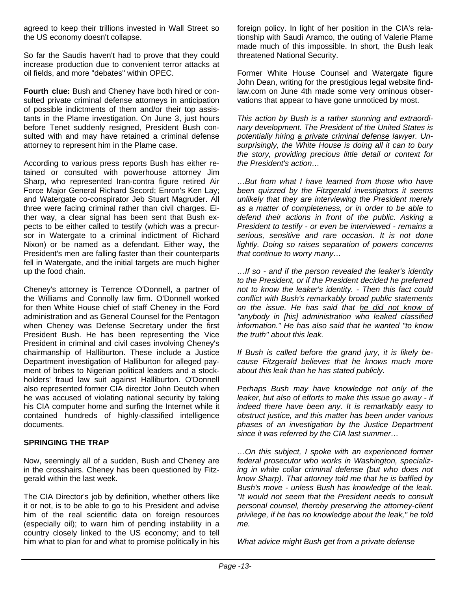agreed to keep their trillions invested in Wall Street so the US economy doesn't collapse.

So far the Saudis haven't had to prove that they could increase production due to convenient terror attacks at oil fields, and more "debates" within OPEC.

**Fourth clue:** Bush and Cheney have both hired or consulted private criminal defense attorneys in anticipation of possible indictments of them and/or their top assistants in the Plame investigation. On June 3, just hours before Tenet suddenly resigned, President Bush consulted with and may have retained a criminal defense attorney to represent him in the Plame case.

According to various press reports Bush has either retained or consulted with powerhouse attorney Jim Sharp, who represented Iran-contra figure retired Air Force Major General Richard Secord; Enron's Ken Lay; and Watergate co-conspirator Jeb Stuart Magruder. All three were facing criminal rather than civil charges. Either way, a clear signal has been sent that Bush expects to be either called to testify (which was a precursor in Watergate to a criminal indictment of Richard Nixon) or be named as a defendant. Either way, the President's men are falling faster than their counterparts fell in Watergate, and the initial targets are much higher up the food chain.

Cheney's attorney is Terrence O'Donnell, a partner of the Williams and Connolly law firm. O'Donnell worked for then White House chief of staff Cheney in the Ford administration and as General Counsel for the Pentagon when Cheney was Defense Secretary under the first President Bush. He has been representing the Vice President in criminal and civil cases involving Cheney's chairmanship of Halliburton. These include a Justice Department investigation of Halliburton for alleged payment of bribes to Nigerian political leaders and a stockholders' fraud law suit against Halliburton. O'Donnell also represented former CIA director John Deutch when he was accused of violating national security by taking his CIA computer home and surfing the Internet while it contained hundreds of highly-classified intelligence documents.

#### **SPRINGING THE TRAP**

Now, seemingly all of a sudden, Bush and Cheney are in the crosshairs. Cheney has been questioned by Fitzgerald within the last week.

The CIA Director's job by definition, whether others like it or not, is to be able to go to his President and advise him of the real scientific data on foreign resources (especially oil); to warn him of pending instability in a country closely linked to the US economy; and to tell him what to plan for and what to promise politically in his

foreign policy. In light of her position in the CIA's relationship with Saudi Aramco, the outing of Valerie Plame made much of this impossible. In short, the Bush leak threatened National Security.

Former White House Counsel and Watergate figure John Dean, writing for the prestigious legal website findlaw.com on June 4th made some very ominous observations that appear to have gone unnoticed by most.

*This action by Bush is a rather stunning and extraordinary development. The President of the United States is potentially hiring a private criminal defense lawyer. Unsurprisingly, the White House is doing all it can to bury the story, providing precious little detail or context for the President's action…* 

*…But from what I have learned from those who have been quizzed by the Fitzgerald investigators it seems unlikely that they are interviewing the President merely as a matter of completeness, or in order to be able to defend their actions in front of the public. Asking a President to testify - or even be interviewed - remains a serious, sensitive and rare occasion. It is not done lightly. Doing so raises separation of powers concerns that continue to worry many…* 

*…If so - and if the person revealed the leaker's identity to the President, or if the President decided he preferred not to know the leaker's identity. - Then this fact could conflict with Bush's remarkably broad public statements on the issue. He has said that he did not know of "anybody in [his] administration who leaked classified information." He has also said that he wanted "to know the truth" about this leak.* 

*If Bush is called before the grand jury, it is likely because Fitzgerald believes that he knows much more about this leak than he has stated publicly.* 

*Perhaps Bush may have knowledge not only of the leaker, but also of efforts to make this issue go away - if indeed there have been any. It is remarkably easy to obstruct justice, and this matter has been under various phases of an investigation by the Justice Department since it was referred by the CIA last summer…* 

*…On this subject, I spoke with an experienced former federal prosecutor who works in Washington, specializing in white collar criminal defense (but who does not know Sharp). That attorney told me that he is baffled by Bush's move - unless Bush has knowledge of the leak. "It would not seem that the President needs to consult personal counsel, thereby preserving the attorney-client privilege, if he has no knowledge about the leak," he told me.* 

*What advice might Bush get from a private defense*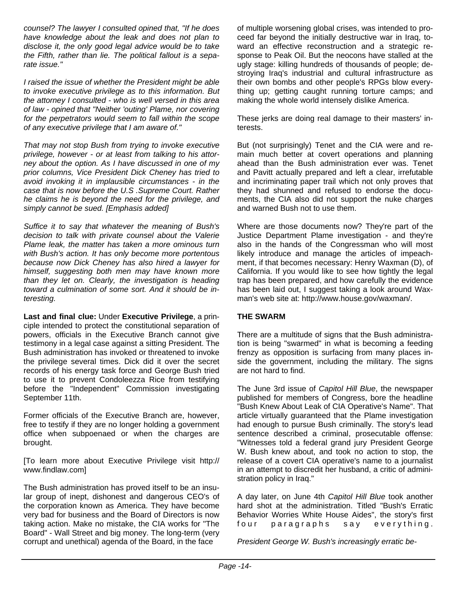*counsel? The lawyer I consulted opined that, "If he does have knowledge about the leak and does not plan to disclose it, the only good legal advice would be to take the Fifth, rather than lie. The political fallout is a separate issue."* 

*I raised the issue of whether the President might be able to invoke executive privilege as to this information. But the attorney I consulted - who is well versed in this area of law - opined that "Neither 'outing' Plame, nor covering for the perpetrators would seem to fall within the scope of any executive privilege that I am aware of."* 

*That may not stop Bush from trying to invoke executive privilege, however - or at least from talking to his attorney about the option. As I have discussed in one of my prior columns, Vice President Dick Cheney has tried to avoid invoking it in implausible circumstances - in the case that is now before the U.S .Supreme Court. Rather he claims he is beyond the need for the privilege, and simply cannot be sued. [Emphasis added]* 

*Suffice it to say that whatever the meaning of Bush's decision to talk with private counsel about the Valerie Plame leak, the matter has taken a more ominous turn with Bush's action. It has only become more portentous because now Dick Cheney has also hired a lawyer for himself, suggesting both men may have known more than they let on. Clearly, the investigation is heading toward a culmination of some sort. And it should be interesting.* 

**Last and final clue:** Under **Executive Privilege**, a principle intended to protect the constitutional separation of powers, officials in the Executive Branch cannot give testimony in a legal case against a sitting President. The Bush administration has invoked or threatened to invoke the privilege several times. Dick did it over the secret records of his energy task force and George Bush tried to use it to prevent Condoleezza Rice from testifying before the "Independent" Commission investigating September 11th.

Former officials of the Executive Branch are, however, free to testify if they are no longer holding a government office when subpoenaed or when the charges are brought.

[To learn more about Executive Privilege visit http:// www.findlaw.com]

The Bush administration has proved itself to be an insular group of inept, dishonest and dangerous CEO's of the corporation known as America. They have become very bad for business and the Board of Directors is now taking action. Make no mistake, the CIA works for "The Board" - Wall Street and big money. The long-term (very corrupt and unethical) agenda of the Board, in the face

of multiple worsening global crises, was intended to proceed far beyond the initially destructive war in Iraq, toward an effective reconstruction and a strategic response to Peak Oil. But the neocons have stalled at the ugly stage: killing hundreds of thousands of people; destroying Iraq's industrial and cultural infrastructure as their own bombs and other people's RPGs blow everything up; getting caught running torture camps; and making the whole world intensely dislike America.

These jerks are doing real damage to their masters' interests.

But (not surprisingly) Tenet and the CIA were and remain much better at covert operations and planning ahead than the Bush administration ever was. Tenet and Pavitt actually prepared and left a clear, irrefutable and incriminating paper trail which not only proves that they had shunned and refused to endorse the documents, the CIA also did not support the nuke charges and warned Bush not to use them.

Where are those documents now? They're part of the Justice Department Plame investigation - and they're also in the hands of the Congressman who will most likely introduce and manage the articles of impeachment, if that becomes necessary: Henry Waxman (D), of California. If you would like to see how tightly the legal trap has been prepared, and how carefully the evidence has been laid out, I suggest taking a look around Waxman's web site at: http://www.house.gov/waxman/.

#### **THE SWARM**

There are a multitude of signs that the Bush administration is being "swarmed" in what is becoming a feeding frenzy as opposition is surfacing from many places inside the government, including the military. The signs are not hard to find.

The June 3rd issue of *Capitol Hill Blue*, the newspaper published for members of Congress, bore the headline "Bush Knew About Leak of CIA Operative's Name". That article virtually guaranteed that the Plame investigation had enough to pursue Bush criminally. The story's lead sentence described a criminal, prosecutable offense: "Witnesses told a federal grand jury President George W. Bush knew about, and took no action to stop, the release of a covert CIA operative's name to a journalist in an attempt to discredit her husband, a critic of administration policy in Iraq."

A day later, on June 4th *Capitol Hill Blue* took another hard shot at the administration. Titled "Bush's Erratic Behavior Worries White House Aides", the story's first four paragraphs say everything.

*President George W. Bush's increasingly erratic be-*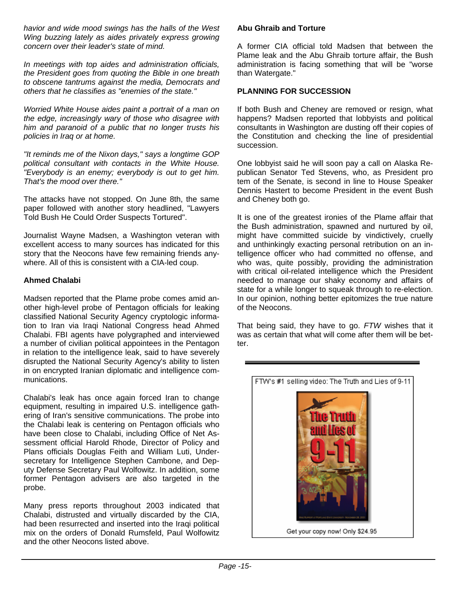*havior and wide mood swings has the halls of the West Wing buzzing lately as aides privately express growing concern over their leader's state of mind.* 

*In meetings with top aides and administration officials, the President goes from quoting the Bible in one breath to obscene tantrums against the media, Democrats and others that he classifies as "enemies of the state."* 

*Worried White House aides paint a portrait of a man on the edge, increasingly wary of those who disagree with him and paranoid of a public that no longer trusts his policies in Iraq or at home.* 

*"It reminds me of the Nixon days," says a longtime GOP political consultant with contacts in the White House. "Everybody is an enemy; everybody is out to get him. That's the mood over there."* 

The attacks have not stopped. On June 8th, the same paper followed with another story headlined, "Lawyers Told Bush He Could Order Suspects Tortured".

Journalist Wayne Madsen, a Washington veteran with excellent access to many sources has indicated for this story that the Neocons have few remaining friends anywhere. All of this is consistent with a CIA-led coup.

#### **Ahmed Chalabi**

Madsen reported that the Plame probe comes amid another high-level probe of Pentagon officials for leaking classified National Security Agency cryptologic information to Iran via Iraqi National Congress head Ahmed Chalabi. FBI agents have polygraphed and interviewed a number of civilian political appointees in the Pentagon in relation to the intelligence leak, said to have severely disrupted the National Security Agency's ability to listen in on encrypted Iranian diplomatic and intelligence communications.

Chalabi's leak has once again forced Iran to change equipment, resulting in impaired U.S. intelligence gathering of Iran's sensitive communications. The probe into the Chalabi leak is centering on Pentagon officials who have been close to Chalabi, including Office of Net Assessment official Harold Rhode, Director of Policy and Plans officials Douglas Feith and William Luti, Undersecretary for Intelligence Stephen Cambone, and Deputy Defense Secretary Paul Wolfowitz. In addition, some former Pentagon advisers are also targeted in the probe.

Many press reports throughout 2003 indicated that Chalabi, distrusted and virtually discarded by the CIA, had been resurrected and inserted into the Iraqi political mix on the orders of Donald Rumsfeld, Paul Wolfowitz and the other Neocons listed above.

#### **Abu Ghraib and Torture**

A former CIA official told Madsen that between the Plame leak and the Abu Ghraib torture affair, the Bush administration is facing something that will be "worse than Watergate."

#### **PLANNING FOR SUCCESSION**

If both Bush and Cheney are removed or resign, what happens? Madsen reported that lobbyists and political consultants in Washington are dusting off their copies of the Constitution and checking the line of presidential succession.

One lobbyist said he will soon pay a call on Alaska Republican Senator Ted Stevens, who, as President pro tem of the Senate, is second in line to House Speaker Dennis Hastert to become President in the event Bush and Cheney both go.

It is one of the greatest ironies of the Plame affair that the Bush administration, spawned and nurtured by oil, might have committed suicide by vindictively, cruelly and unthinkingly exacting personal retribution on an intelligence officer who had committed no offense, and who was, quite possibly, providing the administration with critical oil-related intelligence which the President needed to manage our shaky economy and affairs of state for a while longer to squeak through to re-election. In our opinion, nothing better epitomizes the true nature of the Neocons.

That being said, they have to go. *FTW* wishes that it was as certain that what will come after them will be better.

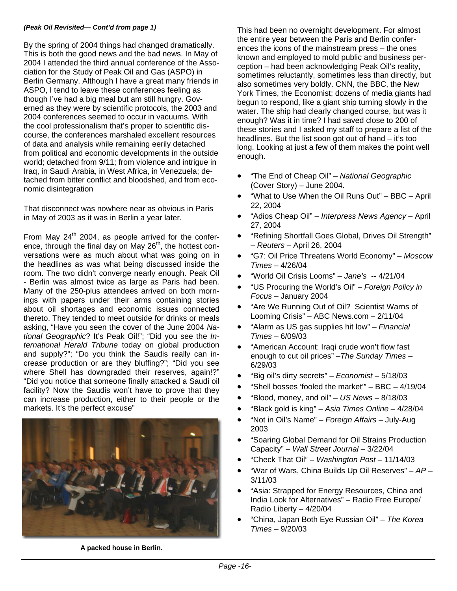#### *(Peak Oil Revisited— Cont'd from page 1)*

By the spring of 2004 things had changed dramatically. This is both the good news and the bad news. In May of 2004 I attended the third annual conference of the Association for the Study of Peak Oil and Gas (ASPO) in Berlin Germany. Although I have a great many friends in ASPO, I tend to leave these conferences feeling as though I've had a big meal but am still hungry. Governed as they were by scientific protocols, the 2003 and 2004 conferences seemed to occur in vacuums. With the cool professionalism that's proper to scientific discourse, the conferences marshaled excellent resources of data and analysis while remaining eerily detached from political and economic developments in the outside world; detached from 9/11; from violence and intrigue in Iraq, in Saudi Arabia, in West Africa, in Venezuela; detached from bitter conflict and bloodshed, and from economic disintegration

That disconnect was nowhere near as obvious in Paris in May of 2003 as it was in Berlin a year later.

From May  $24<sup>th</sup>$  2004, as people arrived for the conference, through the final day on May  $26<sup>th</sup>$ , the hottest conversations were as much about what was going on in the headlines as was what being discussed inside the room. The two didn't converge nearly enough. Peak Oil - Berlin was almost twice as large as Paris had been. Many of the 250-plus attendees arrived on both mornings with papers under their arms containing stories about oil shortages and economic issues connected thereto. They tended to meet outside for drinks or meals asking, "Have you seen the cover of the June 2004 *National Geographic*? It's Peak Oil!"; "Did you see the *International Herald Tribune* today on global production and supply?"; "Do you think the Saudis really can increase production or are they bluffing?"; "Did you see where Shell has downgraded their reserves, again!?" "Did you notice that someone finally attacked a Saudi oil facility? Now the Saudis won't have to prove that they can increase production, either to their people or the markets. It's the perfect excuse"



This had been no overnight development. For almost the entire year between the Paris and Berlin conferences the icons of the mainstream press – the ones known and employed to mold public and business perception – had been acknowledging Peak Oil's reality, sometimes reluctantly, sometimes less than directly, but also sometimes very boldly. CNN, the BBC, the New York Times, the Economist; dozens of media giants had begun to respond, like a giant ship turning slowly in the water. The ship had clearly changed course, but was it enough? Was it in time? I had saved close to 200 of these stories and I asked my staff to prepare a list of the headlines. But the list soon got out of hand – it's too long. Looking at just a few of them makes the point well enough.

- "The End of Cheap Oil" *National Geographic* (Cover Story) – June 2004.
- "What to Use When the Oil Runs Out" BBC April 22, 2004
- "Adios Cheap Oil" *Interpress News Agency* April 27, 2004
- "Refining Shortfall Goes Global, Drives Oil Strength" – *Reuters* – April 26, 2004
- "G7: Oil Price Threatens World Economy" *Moscow Times* – 4/26/04
- "World Oil Crisis Looms" *Jane's* -- 4/21/04
- "US Procuring the World's Oil" *Foreign Policy in Focus* – January 2004
- "Are We Running Out of Oil? Scientist Warns of Looming Crisis" – ABC News.com – 2/11/04
- "Alarm as US gas supplies hit low" *Financial Times* – 6/09/03
- "American Account: Iraqi crude won't flow fast enough to cut oil prices" –*The Sunday Times* – 6/29/03
- "Big oil's dirty secrets" *Economist* 5/18/03
- "Shell bosses 'fooled the market'" BBC 4/19/04
- "Blood, money, and oil" *US News* 8/18/03
- "Black gold is king" *Asia Times Online* 4/28/04
- "Not in Oil's Name" *Foreign Affairs* July-Aug 2003
- "Soaring Global Demand for Oil Strains Production Capacity" – *Wall Street Journal* – 3/22/04
- "Check That Oil" *Washington Post* 11/14/03
- "War of Wars, China Builds Up Oil Reserves" *AP* 3/11/03
- "Asia: Strapped for Energy Resources, China and India Look for Alternatives" – Radio Free Europe/ Radio Liberty – 4/20/04
- "China, Japan Both Eye Russian Oil" *The Korea Times* – 9/20/03

**A packed house in Berlin.**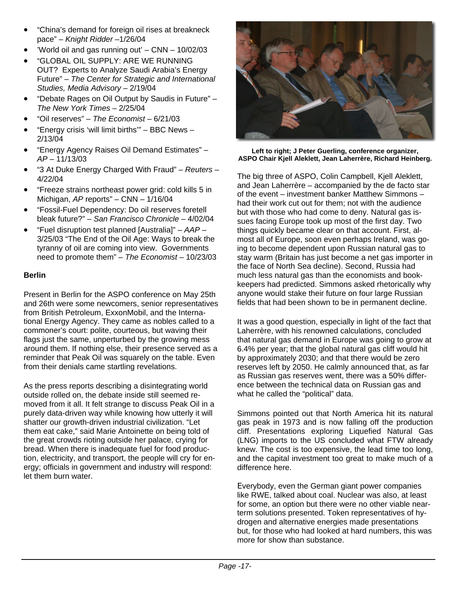- "China's demand for foreign oil rises at breakneck pace" – *Knight Ridder* –1/26/04
- 'World oil and gas running out'  $CNN 10/02/03$
- "GLOBAL OIL SUPPLY: ARE WE RUNNING OUT? Experts to Analyze Saudi Arabia's Energy Future" – *The Center for Strategic and International Studies, Media Advisory* – 2/19/04
- "Debate Rages on Oil Output by Saudis in Future" *The New York Times* – 2/25/04
- "Oil reserves" *The Economist* 6/21/03
- "Energy crisis 'will limit births'" BBC News 2/13/04
- "Energy Agency Raises Oil Demand Estimates" *AP* – 11/13/03
- "3 At Duke Energy Charged With Fraud" *Reuters* 4/22/04
- "Freeze strains northeast power grid: cold kills 5 in Michigan, *AP* reports" – CNN – 1/16/04
- "Fossil-Fuel Dependency: Do oil reserves foretell bleak future?" – *San Francisco Chronicle* – 4/02/04
- "Fuel disruption test planned [Australia]" *AAP* 3/25/03 "The End of the Oil Age: Ways to break the tyranny of oil are coming into view. Governments need to promote them" – *The Economist* – 10/23/03

#### **Berlin**

Present in Berlin for the ASPO conference on May 25th and 26th were some newcomers, senior representatives from British Petroleum, ExxonMobil, and the International Energy Agency. They came as nobles called to a commoner's court: polite, courteous, but waving their flags just the same, unperturbed by the growing mess around them. If nothing else, their presence served as a reminder that Peak Oil was squarely on the table. Even from their denials came startling revelations.

As the press reports describing a disintegrating world outside rolled on, the debate inside still seemed removed from it all. It felt strange to discuss Peak Oil in a purely data-driven way while knowing how utterly it will shatter our growth-driven industrial civilization. "Let them eat cake," said Marie Antoinette on being told of the great crowds rioting outside her palace, crying for bread. When there is inadequate fuel for food production, electricity, and transport, the people will cry for energy; officials in government and industry will respond: let them burn water.



**Left to right; J Peter Guerling, conference organizer, ASPO Chair Kjell Aleklett, Jean Laherrère, Richard Heinberg.** 

The big three of ASPO, Colin Campbell, Kjell Aleklett, and Jean Laherrère – accompanied by the de facto star of the event – investment banker Matthew Simmons – had their work cut out for them; not with the audience but with those who had come to deny. Natural gas issues facing Europe took up most of the first day. Two things quickly became clear on that account. First, almost all of Europe, soon even perhaps Ireland, was going to become dependent upon Russian natural gas to stay warm (Britain has just become a net gas importer in the face of North Sea decline). Second, Russia had much less natural gas than the economists and bookkeepers had predicted. Simmons asked rhetorically why anyone would stake their future on four large Russian fields that had been shown to be in permanent decline.

It was a good question, especially in light of the fact that Laherrère, with his renowned calculations, concluded that natural gas demand in Europe was going to grow at 6.4% per year; that the global natural gas cliff would hit by approximately 2030; and that there would be zero reserves left by 2050. He calmly announced that, as far as Russian gas reserves went, there was a 50% difference between the technical data on Russian gas and what he called the "political" data.

Simmons pointed out that North America hit its natural gas peak in 1973 and is now falling off the production cliff. Presentations exploring Liquefied Natural Gas (LNG) imports to the US concluded what FTW already knew. The cost is too expensive, the lead time too long, and the capital investment too great to make much of a difference here.

Everybody, even the German giant power companies like RWE, talked about coal. Nuclear was also, at least for some, an option but there were no other viable nearterm solutions presented. Token representatives of hydrogen and alternative energies made presentations but, for those who had looked at hard numbers, this was more for show than substance.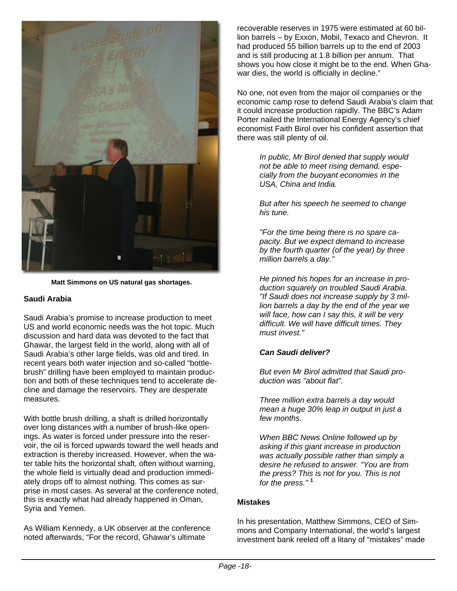

**Matt Simmons on US natural gas shortages.** 

#### **Saudi Arabia**

Saudi Arabia's promise to increase production to meet US and world economic needs was the hot topic. Much discussion and hard data was devoted to the fact that Ghawar, the largest field in the world, along with all of Saudi Arabia's other large fields, was old and tired. In recent years both water injection and so-called "bottlebrush" drilling have been employed to maintain production and both of these techniques tend to accelerate decline and damage the reservoirs. They are desperate measures.

With bottle brush drilling, a shaft is drilled horizontally over long distances with a number of brush-like openings. As water is forced under pressure into the reservoir, the oil is forced upwards toward the well heads and extraction is thereby increased. However, when the water table hits the horizontal shaft, often without warning, the whole field is virtually dead and production immediately drops off to almost nothing. This comes as surprise in most cases. As several at the conference noted, this is exactly what had already happened in Oman, Syria and Yemen.

As William Kennedy, a UK observer at the conference noted afterwards, "For the record, Ghawar's ultimate

recoverable reserves in 1975 were estimated at 60 billion barrels – by Exxon, Mobil, Texaco and Chevron. It had produced 55 billion barrels up to the end of 2003 and is still producing at 1.8 billion per annum. That shows you how close it might be to the end. When Ghawar dies, the world is officially in decline."

No one, not even from the major oil companies or the economic camp rose to defend Saudi Arabia's claim that it could increase production rapidly. The BBC's Adam Porter nailed the International Energy Agency's chief economist Faith Birol over his confident assertion that there was still plenty of oil.

> *In public, Mr Birol denied that supply would not be able to meet rising demand, especially from the buoyant economies in the USA, China and India.*

*But after his speech he seemed to change his tune.*

*"For the time being there is no spare capacity. But we expect demand to increase by the fourth quarter (of the year) by three million barrels a day."*

*He pinned his hopes for an increase in production squarely on troubled Saudi Arabia. "If Saudi does not increase supply by 3 million barrels a day by the end of the year we will face, how can I say this, it will be very difficult. We will have difficult times. They must invest."*

#### *Can Saudi deliver?*

*But even Mr Birol admitted that Saudi production was "about flat".*

*Three million extra barrels a day would mean a huge 30% leap in output in just a few months.*

*When BBC News Online followed up by asking if this giant increase in production was actually possible rather than simply a desire he refused to answer. "You are from the press? This is not for you. This is not for the press."* **<sup>1</sup>**

#### **Mistakes**

In his presentation, Matthew Simmons, CEO of Simmons and Company International, the world's largest investment bank reeled off a litany of "mistakes" made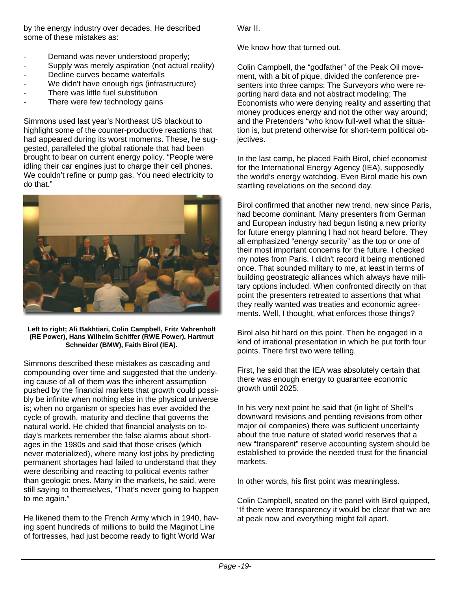by the energy industry over decades. He described some of these mistakes as:

- Demand was never understood properly;
- Supply was merely aspiration (not actual reality)
- Decline curves became waterfalls
- We didn't have enough rigs (infrastructure)
- There was little fuel substitution
- There were few technology gains

Simmons used last year's Northeast US blackout to highlight some of the counter-productive reactions that had appeared during its worst moments. These, he suggested, paralleled the global rationale that had been brought to bear on current energy policy. "People were idling their car engines just to charge their cell phones. We couldn't refine or pump gas. You need electricity to do that."



**Left to right; Ali Bakhtiari, Colin Campbell, Fritz Vahrenholt (RE Power), Hans Wilhelm Schiffer (RWE Power), Hartmut Schneider (BMW), Faith Birol (IEA).** 

Simmons described these mistakes as cascading and compounding over time and suggested that the underlying cause of all of them was the inherent assumption pushed by the financial markets that growth could possibly be infinite when nothing else in the physical universe is; when no organism or species has ever avoided the cycle of growth, maturity and decline that governs the natural world. He chided that financial analysts on today's markets remember the false alarms about shortages in the 1980s and said that those crises (which never materialized), where many lost jobs by predicting permanent shortages had failed to understand that they were describing and reacting to political events rather than geologic ones. Many in the markets, he said, were still saying to themselves, "That's never going to happen to me again."

He likened them to the French Army which in 1940, having spent hundreds of millions to build the Maginot Line of fortresses, had just become ready to fight World War

War II

We know how that turned out.

Colin Campbell, the "godfather" of the Peak Oil movement, with a bit of pique, divided the conference presenters into three camps: The Surveyors who were reporting hard data and not abstract modeling; The Economists who were denying reality and asserting that money produces energy and not the other way around; and the Pretenders "who know full-well what the situation is, but pretend otherwise for short-term political objectives.

In the last camp, he placed Faith Birol, chief economist for the International Energy Agency (IEA), supposedly the world's energy watchdog. Even Birol made his own startling revelations on the second day.

Birol confirmed that another new trend, new since Paris, had become dominant. Many presenters from German and European industry had begun listing a new priority for future energy planning I had not heard before. They all emphasized "energy security" as the top or one of their most important concerns for the future. I checked my notes from Paris. I didn't record it being mentioned once. That sounded military to me, at least in terms of building geostrategic alliances which always have military options included. When confronted directly on that point the presenters retreated to assertions that what they really wanted was treaties and economic agreements. Well, I thought, what enforces those things?

Birol also hit hard on this point. Then he engaged in a kind of irrational presentation in which he put forth four points. There first two were telling.

First, he said that the IEA was absolutely certain that there was enough energy to guarantee economic growth until 2025.

In his very next point he said that (in light of Shell's downward revisions and pending revisions from other major oil companies) there was sufficient uncertainty about the true nature of stated world reserves that a new "transparent" reserve accounting system should be established to provide the needed trust for the financial markets.

In other words, his first point was meaningless.

Colin Campbell, seated on the panel with Birol quipped, "If there were transparency it would be clear that we are at peak now and everything might fall apart.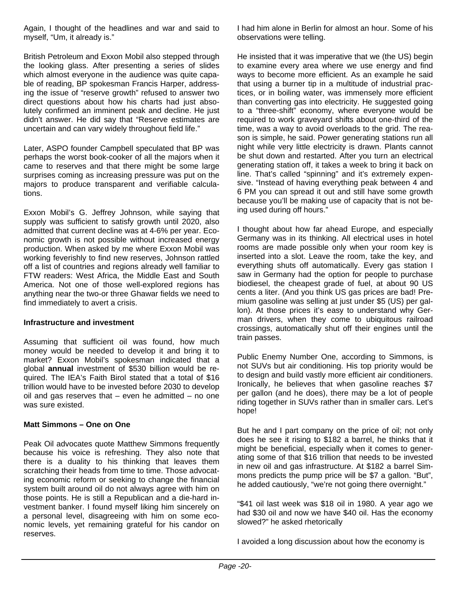Again, I thought of the headlines and war and said to myself, "Um, it already is."

British Petroleum and Exxon Mobil also stepped through the looking glass. After presenting a series of slides which almost everyone in the audience was quite capable of reading, BP spokesman Francis Harper, addressing the issue of "reserve growth" refused to answer two direct questions about how his charts had just absolutely confirmed an imminent peak and decline. He just didn't answer. He did say that "Reserve estimates are uncertain and can vary widely throughout field life."

Later, ASPO founder Campbell speculated that BP was perhaps the worst book-cooker of all the majors when it came to reserves and that there might be some large surprises coming as increasing pressure was put on the majors to produce transparent and verifiable calculations.

Exxon Mobil's G. Jeffrey Johnson, while saying that supply was sufficient to satisfy growth until 2020, also admitted that current decline was at 4-6% per year. Economic growth is not possible without increased energy production. When asked by me where Exxon Mobil was working feverishly to find new reserves, Johnson rattled off a list of countries and regions already well familiar to FTW readers: West Africa, the Middle East and South America. Not one of those well-explored regions has anything near the two-or three Ghawar fields we need to find immediately to avert a crisis.

#### **Infrastructure and investment**

Assuming that sufficient oil was found, how much money would be needed to develop it and bring it to market? Exxon Mobil's spokesman indicated that a global **annual** investment of \$530 billion would be required. The IEA's Faith Birol stated that a total of \$16 trillion would have to be invested before 2030 to develop oil and gas reserves that – even he admitted – no one was sure existed.

#### **Matt Simmons – One on One**

Peak Oil advocates quote Matthew Simmons frequently because his voice is refreshing. They also note that there is a duality to his thinking that leaves them scratching their heads from time to time. Those advocating economic reform or seeking to change the financial system built around oil do not always agree with him on those points. He is still a Republican and a die-hard investment banker. I found myself liking him sincerely on a personal level, disagreeing with him on some economic levels, yet remaining grateful for his candor on reserves.

I had him alone in Berlin for almost an hour. Some of his observations were telling.

He insisted that it was imperative that we (the US) begin to examine every area where we use energy and find ways to become more efficient. As an example he said that using a burner tip in a multitude of industrial practices, or in boiling water, was immensely more efficient than converting gas into electricity. He suggested going to a "three-shift" economy, where everyone would be required to work graveyard shifts about one-third of the time, was a way to avoid overloads to the grid. The reason is simple, he said. Power generating stations run all night while very little electricity is drawn. Plants cannot be shut down and restarted. After you turn an electrical generating station off, it takes a week to bring it back on line. That's called "spinning" and it's extremely expensive. "Instead of having everything peak between 4 and 6 PM you can spread it out and still have some growth because you'll be making use of capacity that is not being used during off hours."

I thought about how far ahead Europe, and especially Germany was in its thinking. All electrical uses in hotel rooms are made possible only when your room key is inserted into a slot. Leave the room, take the key, and everything shuts off automatically. Every gas station I saw in Germany had the option for people to purchase biodiesel, the cheapest grade of fuel, at about 90 US cents a liter. (And you think US gas prices are bad! Premium gasoline was selling at just under \$5 (US) per gallon). At those prices it's easy to understand why German drivers, when they come to ubiquitous railroad crossings, automatically shut off their engines until the train passes.

Public Enemy Number One, according to Simmons, is not SUVs but air conditioning. His top priority would be to design and build vastly more efficient air conditioners. Ironically, he believes that when gasoline reaches \$7 per gallon (and he does), there may be a lot of people riding together in SUVs rather than in smaller cars. Let's hope!

But he and I part company on the price of oil; not only does he see it rising to \$182 a barrel, he thinks that it might be beneficial, especially when it comes to generating some of that \$16 trillion that needs to be invested in new oil and gas infrastructure. At \$182 a barrel Simmons predicts the pump price will be \$7 a gallon. "But", he added cautiously, "we're not going there overnight."

"\$41 oil last week was \$18 oil in 1980. A year ago we had \$30 oil and now we have \$40 oil. Has the economy slowed?" he asked rhetorically

I avoided a long discussion about how the economy is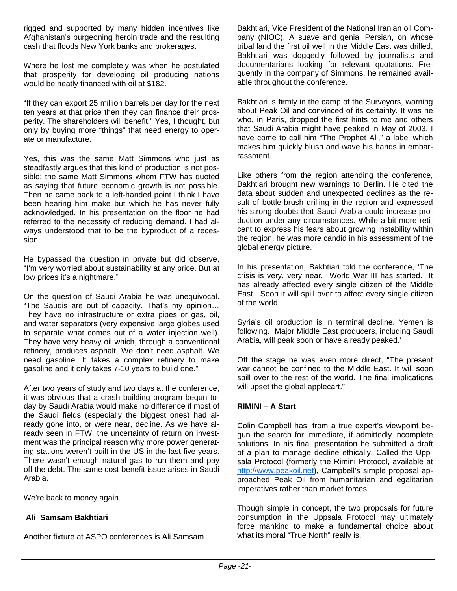rigged and supported by many hidden incentives like Afghanistan's burgeoning heroin trade and the resulting cash that floods New York banks and brokerages.

Where he lost me completely was when he postulated that prosperity for developing oil producing nations would be neatly financed with oil at \$182.

"If they can export 25 million barrels per day for the next ten years at that price then they can finance their prosperity. The shareholders will benefit." Yes, I thought, but only by buying more "things" that need energy to operate or manufacture.

Yes, this was the same Matt Simmons who just as steadfastly argues that this kind of production is not possible; the same Matt Simmons whom FTW has quoted as saying that future economic growth is not possible. Then he came back to a left-handed point I think I have been hearing him make but which he has never fully acknowledged. In his presentation on the floor he had referred to the necessity of reducing demand. I had always understood that to be the byproduct of a recession.

He bypassed the question in private but did observe, "I'm very worried about sustainability at any price. But at low prices it's a nightmare."

On the question of Saudi Arabia he was unequivocal. "The Saudis are out of capacity. That's my opinion… They have no infrastructure or extra pipes or gas, oil, and water separators (very expensive large globes used to separate what comes out of a water injection well). They have very heavy oil which, through a conventional refinery, produces asphalt. We don't need asphalt. We need gasoline. It takes a complex refinery to make gasoline and it only takes 7-10 years to build one."

After two years of study and two days at the conference, it was obvious that a crash building program begun today by Saudi Arabia would make no difference if most of the Saudi fields (especially the biggest ones) had already gone into, or were near, decline. As we have already seen in FTW, the uncertainty of return on investment was the principal reason why more power generating stations weren't built in the US in the last five years. There wasn't enough natural gas to run them and pay off the debt. The same cost-benefit issue arises in Saudi Arabia.

We're back to money again.

#### **Ali Samsam Bakhtiari**

Another fixture at ASPO conferences is Ali Samsam

Bakhtiari, Vice President of the National Iranian oil Company (NIOC). A suave and genial Persian, on whose tribal land the first oil well in the Middle East was drilled, Bakhtiari was doggedly followed by journalists and documentarians looking for relevant quotations. Frequently in the company of Simmons, he remained available throughout the conference.

Bakhtiari is firmly in the camp of the Surveyors, warning about Peak Oil and convinced of its certainty. It was he who, in Paris, dropped the first hints to me and others that Saudi Arabia might have peaked in May of 2003. I have come to call him "The Prophet Ali," a label which makes him quickly blush and wave his hands in embarrassment.

Like others from the region attending the conference, Bakhtiari brought new warnings to Berlin. He cited the data about sudden and unexpected declines as the result of bottle-brush drilling in the region and expressed his strong doubts that Saudi Arabia could increase production under any circumstances. While a bit more reticent to express his fears about growing instability within the region, he was more candid in his assessment of the global energy picture.

In his presentation, Bakhtiari told the conference, 'The crisis is very, very near. World War III has started. It has already affected every single citizen of the Middle East. Soon it will spill over to affect every single citizen of the world.

Syria's oil production is in terminal decline. Yemen is following. Major Middle East producers, including Saudi Arabia, will peak soon or have already peaked.'

Off the stage he was even more direct, "The present war cannot be confined to the Middle East. It will soon spill over to the rest of the world. The final implications will upset the global applecart."

#### **RIMINI – A Start**

Colin Campbell has, from a true expert's viewpoint begun the search for immediate, if admittedly incomplete solutions. In his final presentation he submitted a draft of a plan to manage decline ethically. Called the Uppsala Protocol (formerly the Rimini Protocol, available at http://www.peakoil.net), Campbell's simple proposal approached Peak Oil from humanitarian and egalitarian imperatives rather than market forces.

Though simple in concept, the two proposals for future consumption in the Uppsala Protocol may ultimately force mankind to make a fundamental choice about what its moral "True North" really is.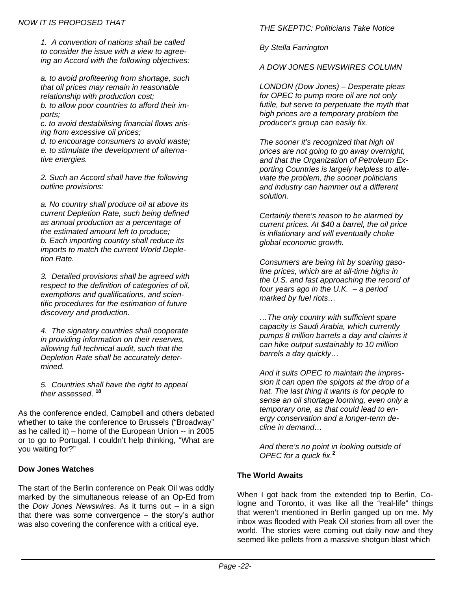*1. A convention of nations shall be called to consider the issue with a view to agreeing an Accord with the following objectives:* 

*a. to avoid profiteering from shortage, such that oil prices may remain in reasonable relationship with production cost; b. to allow poor countries to afford their imports;* 

*c. to avoid destabilising financial flows arising from excessive oil prices;* 

*d. to encourage consumers to avoid waste; e. to stimulate the development of alternative energies.* 

*2. Such an Accord shall have the following outline provisions:* 

*a. No country shall produce oil at above its current Depletion Rate, such being defined as annual production as a percentage of the estimated amount left to produce; b. Each importing country shall reduce its imports to match the current World Depletion Rate.* 

*3. Detailed provisions shall be agreed with respect to the definition of categories of oil, exemptions and qualifications, and scientific procedures for the estimation of future discovery and production.* 

*4. The signatory countries shall cooperate in providing information on their reserves, allowing full technical audit, such that the Depletion Rate shall be accurately determined.* 

*5. Countries shall have the right to appeal their assessed*. **<sup>18</sup>**

As the conference ended, Campbell and others debated whether to take the conference to Brussels ("Broadway" as he called it) – home of the European Union -- in 2005 or to go to Portugal. I couldn't help thinking, "What are you waiting for?"

#### **Dow Jones Watches**

The start of the Berlin conference on Peak Oil was oddly marked by the simultaneous release of an Op-Ed from the *Dow Jones Newswires*. As it turns out – in a sign that there was some convergence – the story's author was also covering the conference with a critical eye.

*THE SKEPTIC: Politicians Take Notice*

*By Stella Farrington*

*A DOW JONES NEWSWIRES COLUMN*

*LONDON (Dow Jones) – Desperate pleas for OPEC to pump more oil are not only futile, but serve to perpetuate the myth that high prices are a temporary problem the producer's group can easily fix.*

*The sooner it's recognized that high oil prices are not going to go away overnight, and that the Organization of Petroleum Exporting Countries is largely helpless to alleviate the problem, the sooner politicians and industry can hammer out a different solution.*

*Certainly there's reason to be alarmed by current prices. At \$40 a barrel, the oil price is inflationary and will eventually choke global economic growth.*

*Consumers are being hit by soaring gasoline prices, which are at all-time highs in the U.S. and fast approaching the record of four years ago in the U.K. – a period marked by fuel riots…*

*…The only country with sufficient spare capacity is Saudi Arabia, which currently pumps 8 million barrels a day and claims it can hike output sustainably to 10 million barrels a day quickly…*

*And it suits OPEC to maintain the impression it can open the spigots at the drop of a hat. The last thing it wants is for people to sense an oil shortage looming, even only a temporary one, as that could lead to energy conservation and a longer-term decline in demand…*

*And there's no point in looking outside of OPEC for a quick fix.***<sup>2</sup>**

#### **The World Awaits**

When I got back from the extended trip to Berlin, Cologne and Toronto, it was like all the "real-life" things that weren't mentioned in Berlin ganged up on me. My inbox was flooded with Peak Oil stories from all over the world. The stories were coming out daily now and they seemed like pellets from a massive shotgun blast which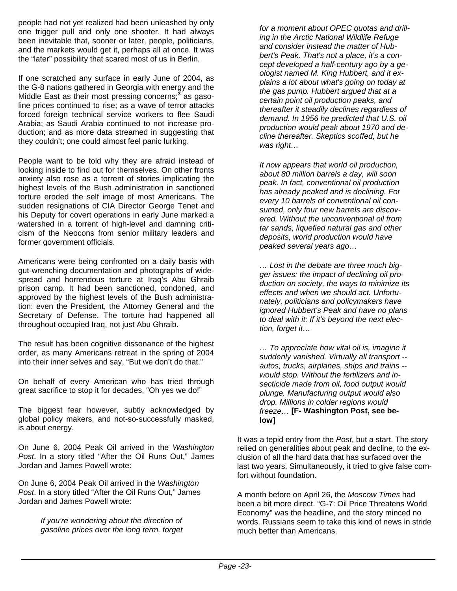people had not yet realized had been unleashed by only one trigger pull and only one shooter. It had always been inevitable that, sooner or later, people, politicians, and the markets would get it, perhaps all at once. It was the "later" possibility that scared most of us in Berlin.

If one scratched any surface in early June of 2004, as the G-8 nations gathered in Georgia with energy and the Middle East as their most pressing concerns;<sup>3</sup> as gasoline prices continued to rise; as a wave of terror attacks forced foreign technical service workers to flee Saudi Arabia; as Saudi Arabia continued to not increase production; and as more data streamed in suggesting that they couldn't; one could almost feel panic lurking.

People want to be told why they are afraid instead of looking inside to find out for themselves. On other fronts anxiety also rose as a torrent of stories implicating the highest levels of the Bush administration in sanctioned torture eroded the self image of most Americans. The sudden resignations of CIA Director George Tenet and his Deputy for covert operations in early June marked a watershed in a torrent of high-level and damning criticism of the Neocons from senior military leaders and former government officials.

Americans were being confronted on a daily basis with gut-wrenching documentation and photographs of widespread and horrendous torture at Iraq's Abu Ghraib prison camp. It had been sanctioned, condoned, and approved by the highest levels of the Bush administration: even the President, the Attorney General and the Secretary of Defense. The torture had happened all throughout occupied Iraq, not just Abu Ghraib.

The result has been cognitive dissonance of the highest order, as many Americans retreat in the spring of 2004 into their inner selves and say, "But we don't do that."

On behalf of every American who has tried through great sacrifice to stop it for decades, "Oh yes we do!"

The biggest fear however, subtly acknowledged by global policy makers, and not-so-successfully masked, is about energy.

On June 6, 2004 Peak Oil arrived in the *Washington Post*. In a story titled "After the Oil Runs Out," James Jordan and James Powell wrote:

On June 6, 2004 Peak Oil arrived in the *Washington Post*. In a story titled "After the Oil Runs Out," James Jordan and James Powell wrote:

> *If you're wondering about the direction of gasoline prices over the long term, forget*

*for a moment about OPEC quotas and drilling in the Arctic National Wildlife Refuge and consider instead the matter of Hubbert's Peak. That's not a place, it's a concept developed a half-century ago by a geologist named M. King Hubbert, and it explains a lot about what's going on today at the gas pump. Hubbert argued that at a certain point oil production peaks, and thereafter it steadily declines regardless of demand. In 1956 he predicted that U.S. oil production would peak about 1970 and decline thereafter. Skeptics scoffed, but he was right…* 

*It now appears that world oil production, about 80 million barrels a day, will soon peak. In fact, conventional oil production has already peaked and is declining. For every 10 barrels of conventional oil consumed, only four new barrels are discovered. Without the unconventional oil from tar sands, liquefied natural gas and other deposits, world production would have peaked several years ago…*

*… Lost in the debate are three much bigger issues: the impact of declining oil production on society, the ways to minimize its effects and when we should act. Unfortunately, politicians and policymakers have ignored Hubbert's Peak and have no plans to deal with it: If it's beyond the next election, forget it…*

*… To appreciate how vital oil is, imagine it suddenly vanished. Virtually all transport - autos, trucks, airplanes, ships and trains - would stop. Without the fertilizers and insecticide made from oil, food output would plunge. Manufacturing output would also drop. Millions in colder regions would freeze…* **[F- Washington Post, see below]**

It was a tepid entry from the *Post*, but a start. The story relied on generalities about peak and decline, to the exclusion of all the hard data that has surfaced over the last two years. Simultaneously, it tried to give false comfort without foundation.

A month before on April 26, the *Moscow Times* had been a bit more direct. "G-7: Oil Price Threatens World Economy" was the headline, and the story minced no words. Russians seem to take this kind of news in stride much better than Americans.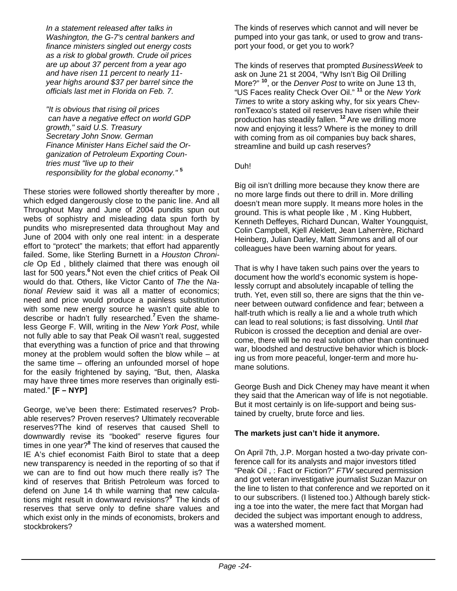*In a statement released after talks in Washington, the G-7's central bankers and finance ministers singled out energy costs as a risk to global growth. Crude oil prices are up about 37 percent from a year ago and have risen 11 percent to nearly 11 year highs around \$37 per barrel since the officials last met in Florida on Feb. 7.*

*"It is obvious that rising oil prices can have a negative effect on world GDP growth," said U.S. Treasury Secretary John Snow. German Finance Minister Hans Eichel said the Organization of Petroleum Exporting Countries must "live up to their responsibility for the global economy."* **<sup>5</sup>**

These stories were followed shortly thereafter by more , which edged dangerously close to the panic line. And all Throughout May and June of 2004 pundits spun out webs of sophistry and misleading data spun forth by pundits who misrepresented data throughout May and June of 2004 with only one real intent: in a desperate effort to "protect" the markets; that effort had apparently failed. Some, like Sterling Burnett in a *Houston Chronicle* Op Ed , blithely claimed that there was enough oil last for 500 years.<sup>6</sup> Not even the chief critics of Peak Oil would do that. Others, like Victor Canto of *The* the *National Review* said it was all a matter of economics; need and price would produce a painless substitution with some new energy source he wasn't quite able to describe or hadn't fully researched.**<sup>7</sup>**Even the shameless George F. Will, writing in the *New York Post*, while not fully able to say that Peak Oil wasn't real, suggested that everything was a function of price and that throwing money at the problem would soften the blow while – at the same time – offering an unfounded morsel of hope for the easily frightened by saying, "But, then, Alaska may have three times more reserves than originally estimated." **[F – NYP]**

George, we've been there: Estimated reserves? Probable reserves? Proven reserves? Ultimately recoverable reserves?The kind of reserves that caused Shell to downwardly revise its "booked" reserve figures four times in one year?<sup>8</sup> The kind of reserves that caused the IE A's chief economist Faith Birol to state that a deep new transparency is needed in the reporting of so that if we can are to find out how much there really is? The kind of reserves that British Petroleum was forced to defend on June 14 th while warning that new calculations might result in downward revisions?**<sup>9</sup>** The kinds of reserves that serve only to define share values and which exist only in the minds of economists, brokers and stockbrokers?

The kinds of reserves which cannot and will never be pumped into your gas tank, or used to grow and transport your food, or get you to work?

The kinds of reserves that prompted *BusinessWeek* to ask on June 21 st 2004, "Why Isn't Big Oil Drilling More?" **<sup>10</sup>**, or the *Denver Post* to write on June 13 th, "US Faces reality Check Over Oil." **<sup>11</sup>** or the *New York Times* to write a story asking why, for six years ChevronTexaco's stated oil reserves have risen while their production has steadily fallen. **<sup>12</sup>**Are we drilling more now and enjoying it less? Where is the money to drill with coming from as oil companies buy back shares, streamline and build up cash reserves?

#### Duh!

Big oil isn't drilling more because they know there are no more large finds out there to drill in. More drilling doesn't mean more supply. It means more holes in the ground. This is what people like , M . King Hubbert, Kenneth Deffeyes, Richard Duncan, Walter Youngquist, Colin Campbell, Kjell Aleklett, Jean Laherrère, Richard Heinberg, Julian Darley, Matt Simmons and all of our colleagues have been warning about for years.

That is why I have taken such pains over the years to document how the world's economic system is hopelessly corrupt and absolutely incapable of telling the truth. Yet, even still so, there are signs that the thin veneer between outward confidence and fear; between a half-truth which is really a lie and a whole truth which can lead to real solutions; is fast dissolving. Until *that* Rubicon is crossed the deception and denial are overcome, there will be no real solution other than continued war, bloodshed and destructive behavior which is blocking us from more peaceful, longer-term and more humane solutions.

George Bush and Dick Cheney may have meant it when they said that the American way of life is not negotiable. But it most certainly is on life-support and being sustained by cruelty, brute force and lies.

#### **The markets just can't hide it anymore.**

On April 7th, J.P. Morgan hosted a two-day private conference call for its analysts and major investors titled "Peak Oil , : Fact or Fiction?" *FTW* secured permission and got veteran investigative journalist Suzan Mazur on the line to listen to that conference and we reported on it to our subscribers. (I listened too.) Although barely sticking a toe into the water, the mere fact that Morgan had decided the subject was important enough to address, was a watershed moment.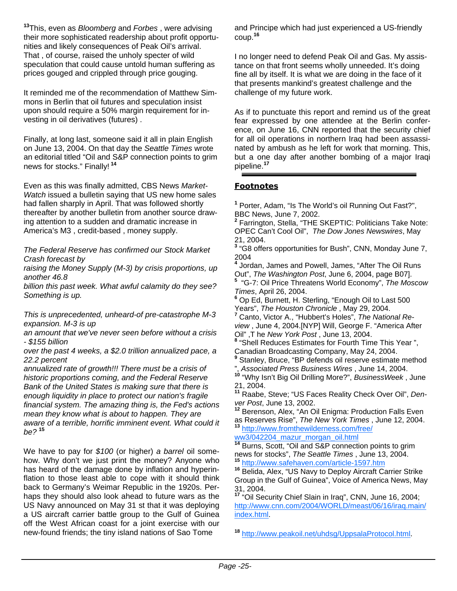**<sup>13</sup>**This, even as *Bloomberg* and *Forbes* , were advising their more sophisticated readership about profit opportunities and likely consequences of Peak Oil's arrival. That , of course, raised the unholy specter of wild speculation that could cause untold human suffering as prices gouged and crippled through price gouging.

It reminded me of the recommendation of Matthew Simmons in Berlin that oil futures and speculation insist upon should require a 50% margin requirement for investing in oil derivatives (futures) .

Finally, at long last, someone said it all in plain English on June 13, 2004. On that day the *Seattle Times* wrote an editorial titled "Oil and S&P connection points to grim news for stocks." Finally!**<sup>14</sup>**

Even as this was finally admitted, CBS News *Market-Watch* issued a bulletin saying that US new home sales had fallen sharply in April. That was followed shortly thereafter by another bulletin from another source drawing attention to a sudden and dramatic increase in America's M3 , credit-based , money supply.

*The Federal Reserve has confirmed our Stock Market Crash forecast by* 

*raising the Money Supply (M-3) by crisis proportions, up another 46.8* 

*billion this past week. What awful calamity do they see? Something is up.*

*This is unprecedented, unheard-of pre-catastrophe M-3 expansion. M-3 is up* 

*an amount that we've never seen before without a crisis - \$155 billion* 

*over the past 4 weeks, a \$2.0 trillion annualized pace, a 22.2 percent* 

*annualized rate of growth!!! There must be a crisis of historic proportions coming, and the Federal Reserve Bank of the United States is making sure that there is enough liquidity in place to protect our nation's fragile financial system. The amazing thing is, the Fed's actions mean they know what is about to happen. They are aware of a terrible, horrific imminent event. What could it be?* **<sup>15</sup>**

We have to pay for *\$100* (or higher) *a barrel* oil somehow. Why don't we just print the money? Anyone who has heard of the damage done by inflation and hyperinflation to those least able to cope with it should think back to Germany's Weimar Republic in the 1920s. Perhaps they should also look ahead to future wars as the US Navy announced on May 31 st that it was deploying a US aircraft carrier battle group to the Gulf of Guinea off the West African coast for a joint exercise with our new-found friends; the tiny island nations of Sao Tome

and Principe which had just experienced a US-friendly coup.**<sup>16</sup>**

I no longer need to defend Peak Oil and Gas. My assistance on that front seems wholly unneeded. It's doing fine all by itself. It is what we are doing in the face of it that presents mankind's greatest challenge and the challenge of my future work.

As if to punctuate this report and remind us of the great fear expressed by one attendee at the Berlin conference, on June 16, CNN reported that the security chief for all oil operations in northern Iraq had been assassinated by ambush as he left for work that morning. This, but a one day after another bombing of a major Iraqi pipeline.**<sup>17</sup>**

#### **Footnotes**

**1** Porter, Adam, "Is The World's oil Running Out Fast?", BBC News, June 7, 2002.

**2** Farrington, Stella, "THE SKEPTIC: Politicians Take Note: OPEC Can't Cool Oil", *The Dow Jones Newswires*, May 21, 2004.

**3** "G8 offers opportunities for Bush", CNN, Monday June 7, 2004

**4** Jordan, James and Powell, James, "After The Oil Runs

Out", *The Washington Post*, June 6, 2004, page B07]. **<sup>5</sup>** "G-7: Oil Price Threatens World Economy", *The Moscow Times*, April 26, 2004.

**6** Op Ed, Burnett, H. Sterling, "Enough Oil to Last 500 Years", *The Houston Chronicle* , May 29, 2004.

**7** Canto, Victor A., "Hubbert's Holes", *The National Review* , June 4, 2004.[NYP] Will, George F. "America After Oil" ,T he *New York Post* , June 13, 2004.

**8** "Shell Reduces Estimates for Fourth Time This Year ", Canadian Broadcasting Company, May 24, 2004.

**9** Stanley, Bruce, "BP defends oil reserve estimate method ", *Associated Press Business Wires* , June 14, 2004.

**<sup>10</sup>** "Why Isn't Big Oil Drilling More?", *BusinessWeek* , June 21, 2004.

**<sup>11</sup>** Raabe, Steve; "US Faces Reality Check Over Oil", *Denver Post*, June 13, 2002.

**<sup>12</sup>** Berenson, Alex, "An Oil Enigma: Production Falls Even as Reserves Rise", *The New York Times* , June 12, 2004.

**<sup>13</sup>** http://www.fromthewilderness.com/free/

ww3/042204\_mazur\_morgan\_oil.html

**<sup>14</sup>** Burns, Scott, "Oil and S&P connection points to grim news for stocks", *The Seattle Times* , June 13, 2004. **<sup>15</sup>** http://www.safehaven.com/article-1597.htm

**<sup>16</sup>** Belida, Alex, "US Navy to Deploy Aircraft Carrier Strike Group in the Gulf of Guinea", Voice of America News, May 31, 2004.

**<sup>17</sup>** "Oil Security Chief Slain in Iraq", CNN, June 16, 2004; http://www.cnn.com/2004/WORLD/meast/06/16/iraq.main/ index.html.

**<sup>18</sup>** http://www.peakoil.net/uhdsg/UppsalaProtocol.html.